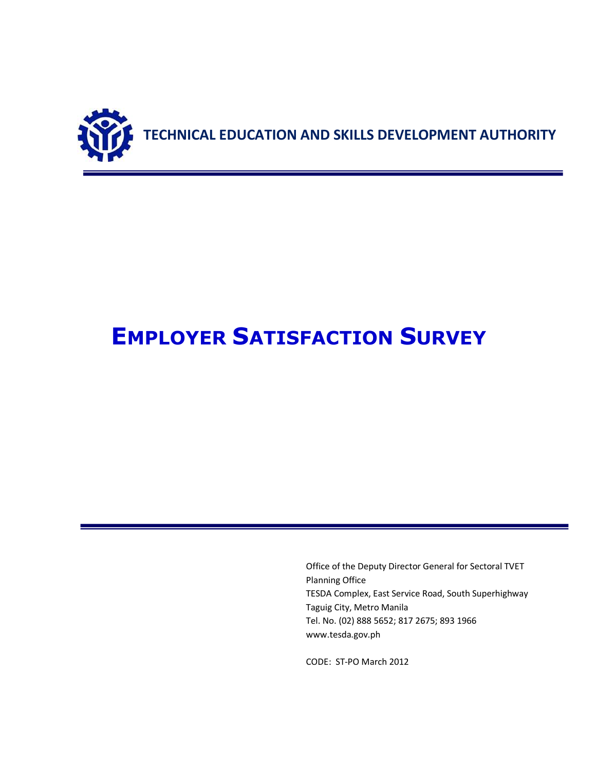

# **EMPLOYER SATISFACTION SURVEY**

Office of the Deputy Director General for Sectoral TVET Planning Office TESDA Complex, East Service Road, South Superhighway Taguig City, Metro Manila Tel. No. (02) 888 5652; 817 2675; 893 1966 www.tesda.gov.ph

CODE: ST-PO March 2012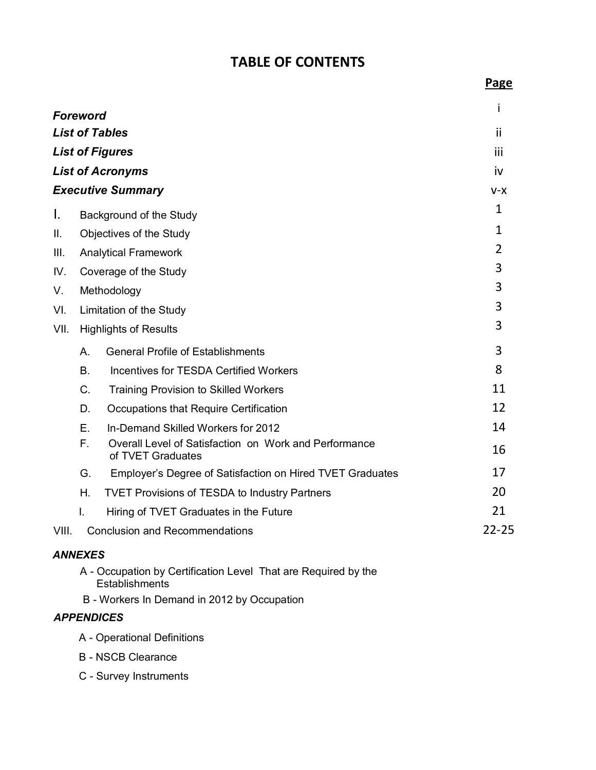## **TABLE OF CONTENTS**

| <b>Foreword</b> |              |                                                                            | İ              |
|-----------------|--------------|----------------------------------------------------------------------------|----------------|
|                 |              | <b>List of Tables</b>                                                      | ii             |
|                 |              | <b>List of Figures</b>                                                     | iii            |
|                 |              | <b>List of Acronyms</b>                                                    | iv             |
|                 |              | <b>Executive Summary</b>                                                   | $V-X$          |
| I.              |              | Background of the Study                                                    | 1              |
| ΙΙ.             |              | Objectives of the Study                                                    | $\mathbf{1}$   |
| III.            |              | <b>Analytical Framework</b>                                                | $\overline{2}$ |
| IV.             |              | Coverage of the Study                                                      | 3              |
| V.              |              | Methodology                                                                | 3              |
| VI.             |              | Limitation of the Study                                                    | 3              |
| VII.            |              | <b>Highlights of Results</b>                                               | 3              |
|                 | $A_{\cdot}$  | <b>General Profile of Establishments</b>                                   | 3              |
|                 | <b>B.</b>    | <b>Incentives for TESDA Certified Workers</b>                              | 8              |
|                 | $C_{\cdot}$  | <b>Training Provision to Skilled Workers</b>                               | 11             |
|                 | D.           | Occupations that Require Certification                                     | 12             |
|                 | E.           | In-Demand Skilled Workers for 2012                                         | 14             |
|                 | $F_{\rm{H}}$ | Overall Level of Satisfaction on Work and Performance<br>of TVET Graduates | 16             |
|                 | G.           | Employer's Degree of Satisfaction on Hired TVET Graduates                  | 17             |
|                 | Η.           | <b>TVET Provisions of TESDA to Industry Partners</b>                       | 20             |
|                 | Τ.           | Hiring of TVET Graduates in the Future                                     | 21             |
| VIII.           |              | <b>Conclusion and Recommendations</b>                                      | $22 - 25$      |

#### *ANNEXES*

- A Occupation by Certification Level That are Required by the **Establishments**
- B Workers In Demand in 2012 by Occupation

#### *APPENDICES*

- A Operational Definitions
- B NSCB Clearance
- C Survey Instruments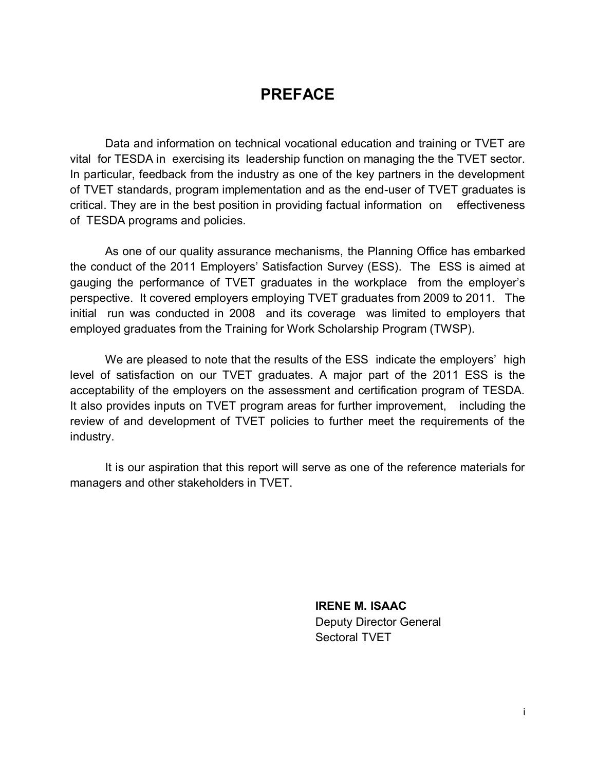## **PREFACE**

Data and information on technical vocational education and training or TVET are vital for TESDA in exercising its leadership function on managing the the TVET sector. In particular, feedback from the industry as one of the key partners in the development of TVET standards, program implementation and as the end-user of TVET graduates is critical. They are in the best position in providing factual information on effectiveness of TESDA programs and policies.

As one of our quality assurance mechanisms, the Planning Office has embarked the conduct of the 2011 Employers' Satisfaction Survey (ESS). The ESS is aimed at gauging the performance of TVET graduates in the workplace from the employer's perspective. It covered employers employing TVET graduates from 2009 to 2011. The initial run was conducted in 2008 and its coverage was limited to employers that employed graduates from the Training for Work Scholarship Program (TWSP).

We are pleased to note that the results of the ESS indicate the employers' high level of satisfaction on our TVET graduates. A major part of the 2011 ESS is the acceptability of the employers on the assessment and certification program of TESDA. It also provides inputs on TVET program areas for further improvement, including the review of and development of TVET policies to further meet the requirements of the industry.

It is our aspiration that this report will serve as one of the reference materials for managers and other stakeholders in TVET.

> **IRENE M. ISAAC** Deputy Director General Sectoral TVET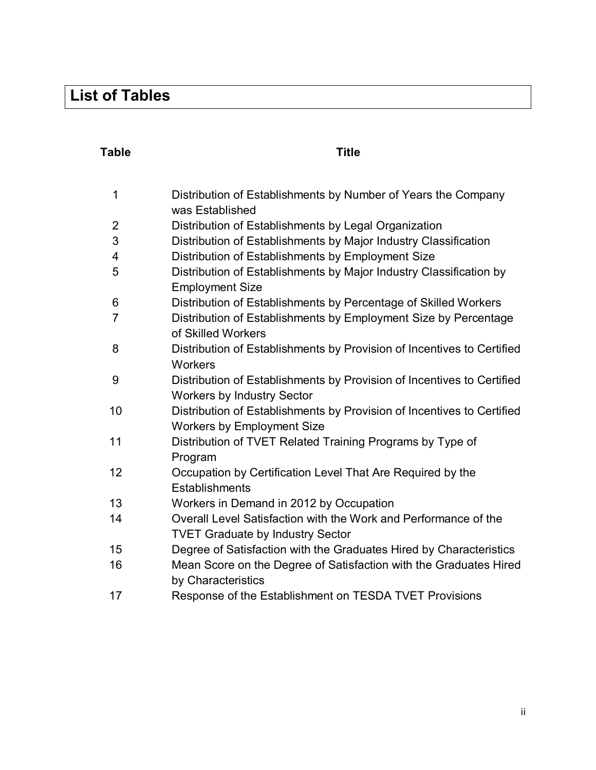## **List of Tables**

### **Table Title**

| $\mathbf 1$    | Distribution of Establishments by Number of Years the Company                                |
|----------------|----------------------------------------------------------------------------------------------|
|                | was Established                                                                              |
| $\overline{2}$ | Distribution of Establishments by Legal Organization                                         |
| 3              | Distribution of Establishments by Major Industry Classification                              |
| 4              | Distribution of Establishments by Employment Size                                            |
| 5              | Distribution of Establishments by Major Industry Classification by<br><b>Employment Size</b> |
| 6              | Distribution of Establishments by Percentage of Skilled Workers                              |
| $\overline{7}$ | Distribution of Establishments by Employment Size by Percentage                              |
|                | of Skilled Workers                                                                           |
| 8              | Distribution of Establishments by Provision of Incentives to Certified                       |
|                | Workers                                                                                      |
| 9              | Distribution of Establishments by Provision of Incentives to Certified                       |
|                | <b>Workers by Industry Sector</b>                                                            |
| 10             | Distribution of Establishments by Provision of Incentives to Certified                       |
|                | <b>Workers by Employment Size</b>                                                            |
| 11             | Distribution of TVET Related Training Programs by Type of                                    |
|                | Program                                                                                      |
| 12             | Occupation by Certification Level That Are Required by the                                   |
|                | Establishments                                                                               |
| 13             | Workers in Demand in 2012 by Occupation                                                      |
| 14             | Overall Level Satisfaction with the Work and Performance of the                              |
|                | <b>TVET Graduate by Industry Sector</b>                                                      |
| 15             | Degree of Satisfaction with the Graduates Hired by Characteristics                           |
| 16             | Mean Score on the Degree of Satisfaction with the Graduates Hired                            |
|                | by Characteristics                                                                           |
| 17             | Response of the Establishment on TESDA TVET Provisions                                       |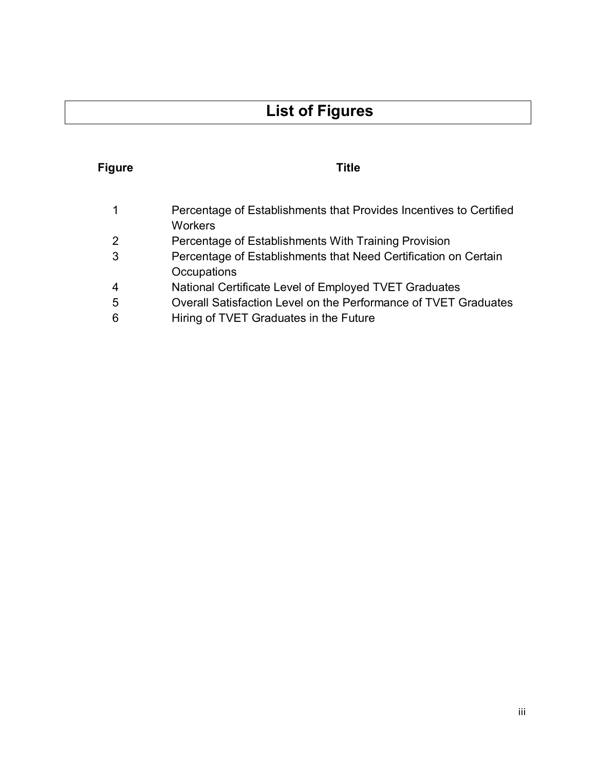# **List of Figures**

## **Figure Title**

| $\mathbf 1$    | Percentage of Establishments that Provides Incentives to Certified |
|----------------|--------------------------------------------------------------------|
|                | <b>Workers</b>                                                     |
| 2              | Percentage of Establishments With Training Provision               |
| 3              | Percentage of Establishments that Need Certification on Certain    |
|                | Occupations                                                        |
| $\overline{4}$ | National Certificate Level of Employed TVET Graduates              |
| 5              | Overall Satisfaction Level on the Performance of TVET Graduates    |

6 Hiring of TVET Graduates in the Future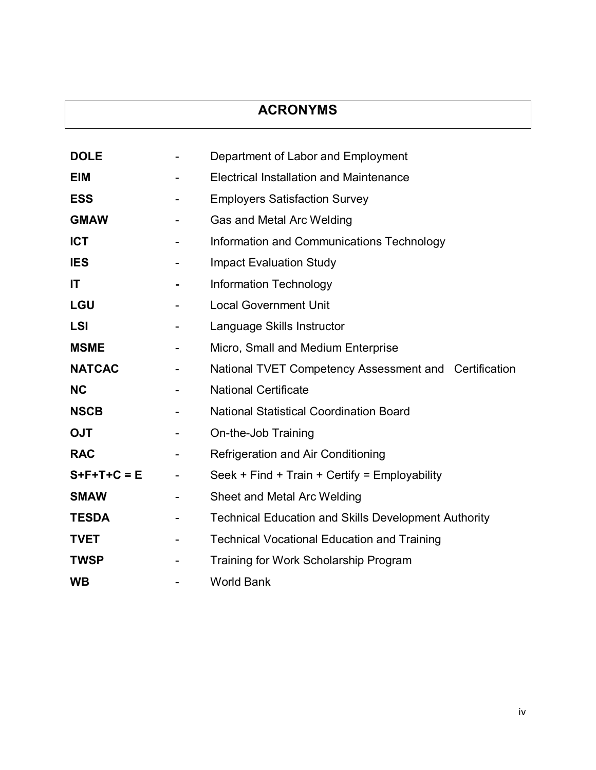## **ACRONYMS**

| <b>DOLE</b>         |                              | Department of Labor and Employment                          |
|---------------------|------------------------------|-------------------------------------------------------------|
| <b>EIM</b>          |                              | <b>Electrical Installation and Maintenance</b>              |
| <b>ESS</b>          | -                            | <b>Employers Satisfaction Survey</b>                        |
| <b>GMAW</b>         | $\qquad \qquad \blacksquare$ | Gas and Metal Arc Welding                                   |
| <b>ICT</b>          | -                            | Information and Communications Technology                   |
| <b>IES</b>          | -                            | <b>Impact Evaluation Study</b>                              |
| IT                  | $\blacksquare$               | <b>Information Technology</b>                               |
| <b>LGU</b>          | $\qquad \qquad \blacksquare$ | <b>Local Government Unit</b>                                |
| <b>LSI</b>          | $\qquad \qquad \blacksquare$ | Language Skills Instructor                                  |
| <b>MSME</b>         |                              | Micro, Small and Medium Enterprise                          |
| <b>NATCAC</b>       | Ξ.                           | National TVET Competency Assessment and Certification       |
| <b>NC</b>           |                              | <b>National Certificate</b>                                 |
| <b>NSCB</b>         |                              | <b>National Statistical Coordination Board</b>              |
| <b>OJT</b>          | $\overline{\phantom{0}}$     | On-the-Job Training                                         |
| <b>RAC</b>          |                              | Refrigeration and Air Conditioning                          |
| $S + F + T + C = E$ | $\blacksquare$               | Seek + Find + Train + Certify = Employability               |
| <b>SMAW</b>         | -                            | Sheet and Metal Arc Welding                                 |
| <b>TESDA</b>        | -                            | <b>Technical Education and Skills Development Authority</b> |
| <b>TVET</b>         | $\qquad \qquad \blacksquare$ | <b>Technical Vocational Education and Training</b>          |
| <b>TWSP</b>         |                              | Training for Work Scholarship Program                       |
| <b>WB</b>           |                              | <b>World Bank</b>                                           |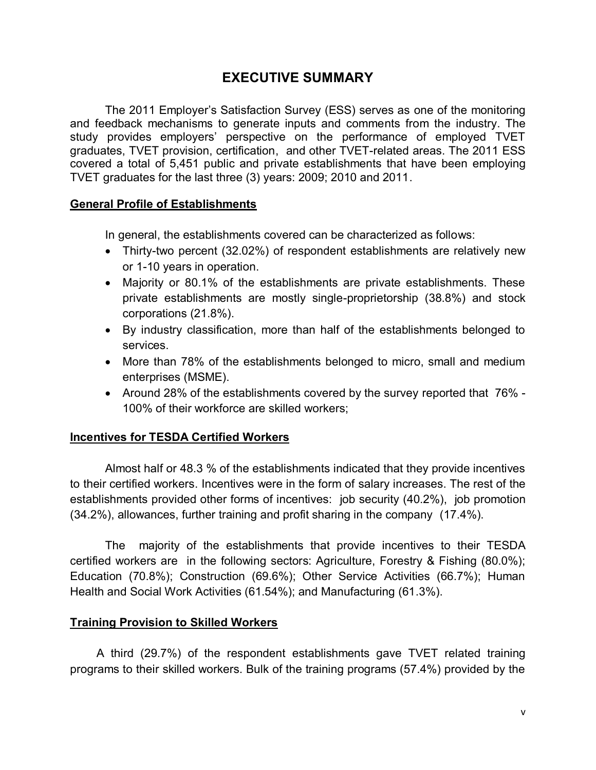#### **EXECUTIVE SUMMARY**

The 2011 Employer's Satisfaction Survey (ESS) serves as one of the monitoring and feedback mechanisms to generate inputs and comments from the industry. The study provides employers' perspective on the performance of employed TVET graduates, TVET provision, certification, and other TVET-related areas. The 2011 ESS covered a total of 5,451 public and private establishments that have been employing TVET graduates for the last three (3) years: 2009; 2010 and 2011.

#### **General Profile of Establishments**

In general, the establishments covered can be characterized as follows:

- Thirty-two percent (32.02%) of respondent establishments are relatively new or 1-10 years in operation.
- Majority or 80.1% of the establishments are private establishments. These private establishments are mostly single-proprietorship (38.8%) and stock corporations (21.8%).
- By industry classification, more than half of the establishments belonged to services.
- More than 78% of the establishments belonged to micro, small and medium enterprises (MSME).
- Around 28% of the establishments covered by the survey reported that 76% 100% of their workforce are skilled workers;

#### **Incentives for TESDA Certified Workers**

Almost half or 48.3 % of the establishments indicated that they provide incentives to their certified workers. Incentives were in the form of salary increases. The rest of the establishments provided other forms of incentives: job security (40.2%), job promotion (34.2%), allowances, further training and profit sharing in the company (17.4%).

The majority of the establishments that provide incentives to their TESDA certified workers are in the following sectors: Agriculture, Forestry & Fishing (80.0%); Education (70.8%); Construction (69.6%); Other Service Activities (66.7%); Human Health and Social Work Activities (61.54%); and Manufacturing (61.3%).

#### **Training Provision to Skilled Workers**

A third (29.7%) of the respondent establishments gave TVET related training programs to their skilled workers. Bulk of the training programs (57.4%) provided by the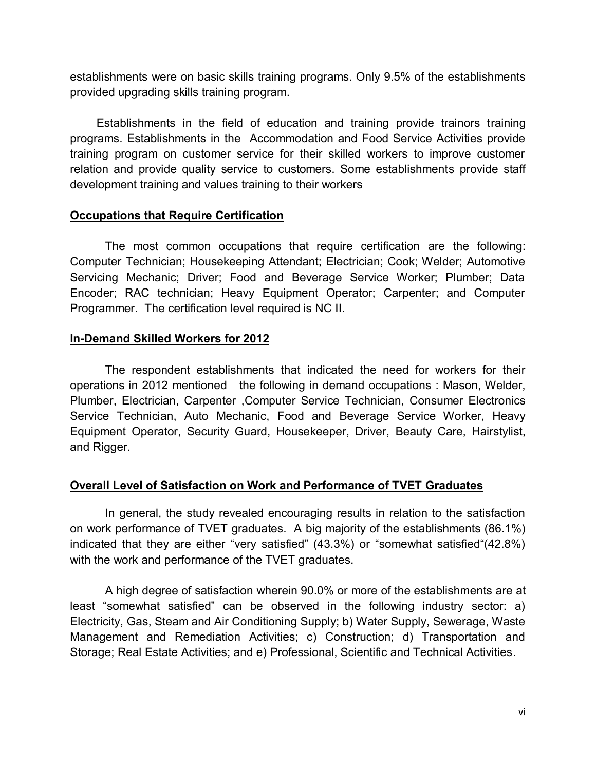establishments were on basic skills training programs. Only 9.5% of the establishments provided upgrading skills training program.

Establishments in the field of education and training provide trainors training programs. Establishments in the Accommodation and Food Service Activities provide training program on customer service for their skilled workers to improve customer relation and provide quality service to customers. Some establishments provide staff development training and values training to their workers

#### **Occupations that Require Certification**

The most common occupations that require certification are the following: Computer Technician; Housekeeping Attendant; Electrician; Cook; Welder; Automotive Servicing Mechanic; Driver; Food and Beverage Service Worker; Plumber; Data Encoder; RAC technician; Heavy Equipment Operator; Carpenter; and Computer Programmer. The certification level required is NC II.

#### **In-Demand Skilled Workers for 2012**

The respondent establishments that indicated the need for workers for their operations in 2012 mentioned the following in demand occupations : Mason, Welder, Plumber, Electrician, Carpenter ,Computer Service Technician, Consumer Electronics Service Technician, Auto Mechanic, Food and Beverage Service Worker, Heavy Equipment Operator, Security Guard, Housekeeper, Driver, Beauty Care, Hairstylist, and Rigger.

#### **Overall Level of Satisfaction on Work and Performance of TVET Graduates**

In general, the study revealed encouraging results in relation to the satisfaction on work performance of TVET graduates. A big majority of the establishments (86.1%) indicated that they are either "very satisfied" (43.3%) or "somewhat satisfied"(42.8%) with the work and performance of the TVET graduates.

A high degree of satisfaction wherein 90.0% or more of the establishments are at least "somewhat satisfied" can be observed in the following industry sector: a) Electricity, Gas, Steam and Air Conditioning Supply; b) Water Supply, Sewerage, Waste Management and Remediation Activities; c) Construction; d) Transportation and Storage; Real Estate Activities; and e) Professional, Scientific and Technical Activities.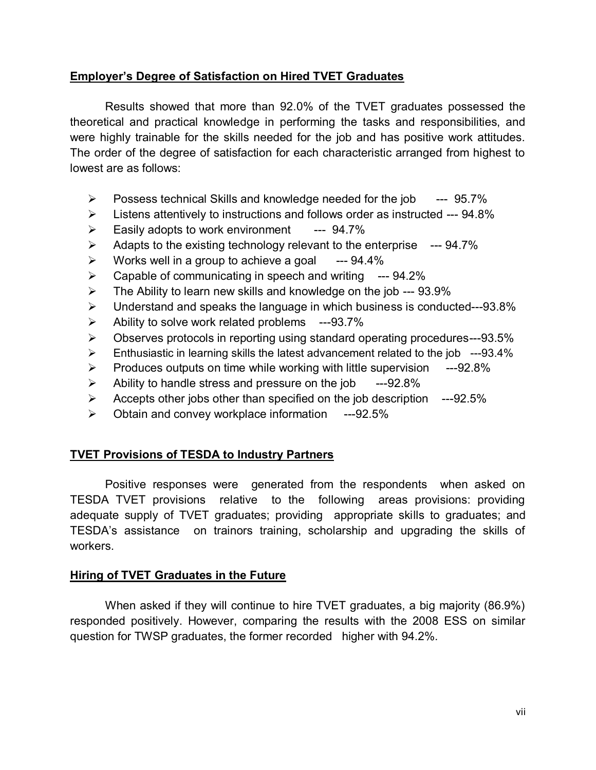#### **Employer's Degree of Satisfaction on Hired TVET Graduates**

Results showed that more than 92.0% of the TVET graduates possessed the theoretical and practical knowledge in performing the tasks and responsibilities, and were highly trainable for the skills needed for the job and has positive work attitudes. The order of the degree of satisfaction for each characteristic arranged from highest to lowest are as follows:

- $\triangleright$  Possess technical Skills and knowledge needed for the job --- 95.7%
- $\triangleright$  Listens attentively to instructions and follows order as instructed --- 94.8%
- $\triangleright$  Easily adopts to work environment --- 94.7%
- $\triangleright$  Adapts to the existing technology relevant to the enterprise --- 94.7%
- $\triangleright$  Works well in a group to achieve a goal  $-$ -94.4%
- $\triangleright$  Capable of communicating in speech and writing --- 94.2%
- $\triangleright$  The Ability to learn new skills and knowledge on the job --- 93.9%
- $\triangleright$  Understand and speaks the language in which business is conducted---93.8%
- $\triangleright$  Ability to solve work related problems ---93.7%
- Observes protocols in reporting using standard operating procedures---93.5%
- $\triangleright$  Enthusiastic in learning skills the latest advancement related to the job ---93.4%
- $\triangleright$  Produces outputs on time while working with little supervision  $---92.8\%$
- $\blacktriangleright$  Ability to handle stress and pressure on the job  $-$ --92.8%
- $\triangleright$  Accepts other jobs other than specified on the job description ---92.5%
- $\geq$  Obtain and convey workplace information ---92.5%

#### **TVET Provisions of TESDA to Industry Partners**

Positive responses were generated from the respondents when asked on TESDA TVET provisions relative to the following areas provisions: providing adequate supply of TVET graduates; providing appropriate skills to graduates; and TESDA's assistance on trainors training, scholarship and upgrading the skills of workers.

#### **Hiring of TVET Graduates in the Future**

When asked if they will continue to hire TVET graduates, a big majority (86.9%) responded positively. However, comparing the results with the 2008 ESS on similar question for TWSP graduates, the former recorded higher with 94.2%.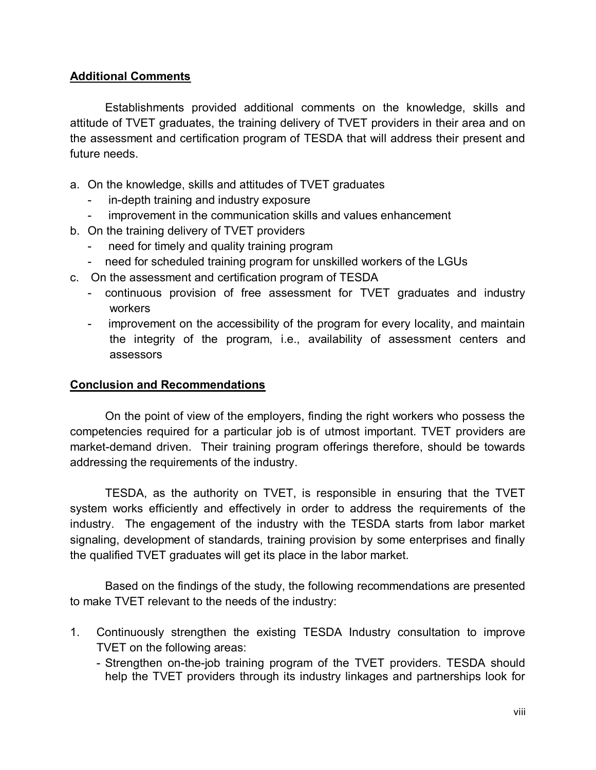#### **Additional Comments**

Establishments provided additional comments on the knowledge, skills and attitude of TVET graduates, the training delivery of TVET providers in their area and on the assessment and certification program of TESDA that will address their present and future needs.

- a. On the knowledge, skills and attitudes of TVET graduates
	- in-depth training and industry exposure
	- improvement in the communication skills and values enhancement
- b. On the training delivery of TVET providers
	- need for timely and quality training program
	- need for scheduled training program for unskilled workers of the LGUs
- c. On the assessment and certification program of TESDA
	- continuous provision of free assessment for TVET graduates and industry workers
	- improvement on the accessibility of the program for every locality, and maintain the integrity of the program, i.e., availability of assessment centers and assessors

#### **Conclusion and Recommendations**

On the point of view of the employers, finding the right workers who possess the competencies required for a particular job is of utmost important. TVET providers are market-demand driven. Their training program offerings therefore, should be towards addressing the requirements of the industry.

TESDA, as the authority on TVET, is responsible in ensuring that the TVET system works efficiently and effectively in order to address the requirements of the industry. The engagement of the industry with the TESDA starts from labor market signaling, development of standards, training provision by some enterprises and finally the qualified TVET graduates will get its place in the labor market.

Based on the findings of the study, the following recommendations are presented to make TVET relevant to the needs of the industry:

- 1. Continuously strengthen the existing TESDA Industry consultation to improve TVET on the following areas:
	- Strengthen on-the-job training program of the TVET providers. TESDA should help the TVET providers through its industry linkages and partnerships look for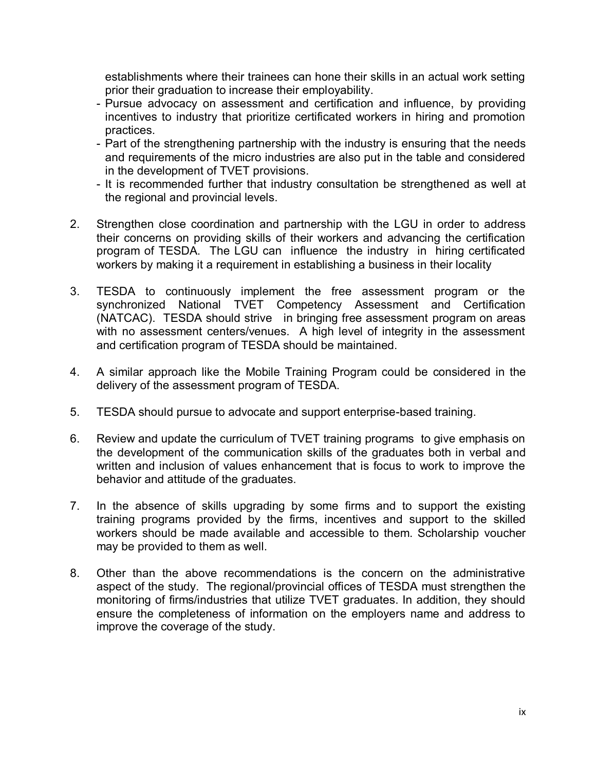establishments where their trainees can hone their skills in an actual work setting prior their graduation to increase their employability.

- Pursue advocacy on assessment and certification and influence, by providing incentives to industry that prioritize certificated workers in hiring and promotion practices.
- Part of the strengthening partnership with the industry is ensuring that the needs and requirements of the micro industries are also put in the table and considered in the development of TVET provisions.
- It is recommended further that industry consultation be strengthened as well at the regional and provincial levels.
- 2. Strengthen close coordination and partnership with the LGU in order to address their concerns on providing skills of their workers and advancing the certification program of TESDA. The LGU can influence the industry in hiring certificated workers by making it a requirement in establishing a business in their locality
- 3. TESDA to continuously implement the free assessment program or the synchronized National TVET Competency Assessment and Certification (NATCAC). TESDA should strive in bringing free assessment program on areas with no assessment centers/venues. A high level of integrity in the assessment and certification program of TESDA should be maintained.
- 4. A similar approach like the Mobile Training Program could be considered in the delivery of the assessment program of TESDA.
- 5. TESDA should pursue to advocate and support enterprise-based training.
- 6. Review and update the curriculum of TVET training programs to give emphasis on the development of the communication skills of the graduates both in verbal and written and inclusion of values enhancement that is focus to work to improve the behavior and attitude of the graduates.
- 7. In the absence of skills upgrading by some firms and to support the existing training programs provided by the firms, incentives and support to the skilled workers should be made available and accessible to them. Scholarship voucher may be provided to them as well.
- 8. Other than the above recommendations is the concern on the administrative aspect of the study. The regional/provincial offices of TESDA must strengthen the monitoring of firms/industries that utilize TVET graduates. In addition, they should ensure the completeness of information on the employers name and address to improve the coverage of the study.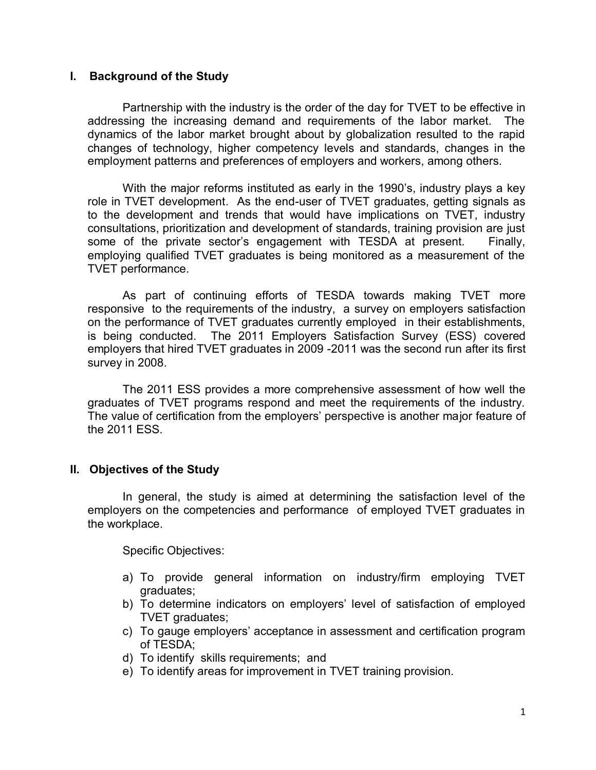#### **I. Background of the Study**

Partnership with the industry is the order of the day for TVET to be effective in addressing the increasing demand and requirements of the labor market. The dynamics of the labor market brought about by globalization resulted to the rapid changes of technology, higher competency levels and standards, changes in the employment patterns and preferences of employers and workers, among others.

With the major reforms instituted as early in the 1990's, industry plays a key role in TVET development. As the end-user of TVET graduates, getting signals as to the development and trends that would have implications on TVET, industry consultations, prioritization and development of standards, training provision are just some of the private sector's engagement with TESDA at present. Finally, employing qualified TVET graduates is being monitored as a measurement of the TVET performance.

As part of continuing efforts of TESDA towards making TVET more responsive to the requirements of the industry, a survey on employers satisfaction on the performance of TVET graduates currently employed in their establishments, is being conducted. The 2011 Employers Satisfaction Survey (ESS) covered employers that hired TVET graduates in 2009 -2011 was the second run after its first survey in 2008.

The 2011 ESS provides a more comprehensive assessment of how well the graduates of TVET programs respond and meet the requirements of the industry. The value of certification from the employers' perspective is another major feature of the 2011 ESS.

#### **II. Objectives of the Study**

In general, the study is aimed at determining the satisfaction level of the employers on the competencies and performance of employed TVET graduates in the workplace.

Specific Objectives:

- a) To provide general information on industry/firm employing TVET graduates;
- b) To determine indicators on employers' level of satisfaction of employed TVET graduates;
- c) To gauge employers' acceptance in assessment and certification program of TESDA;
- d) To identify skills requirements; and
- e) To identify areas for improvement in TVET training provision.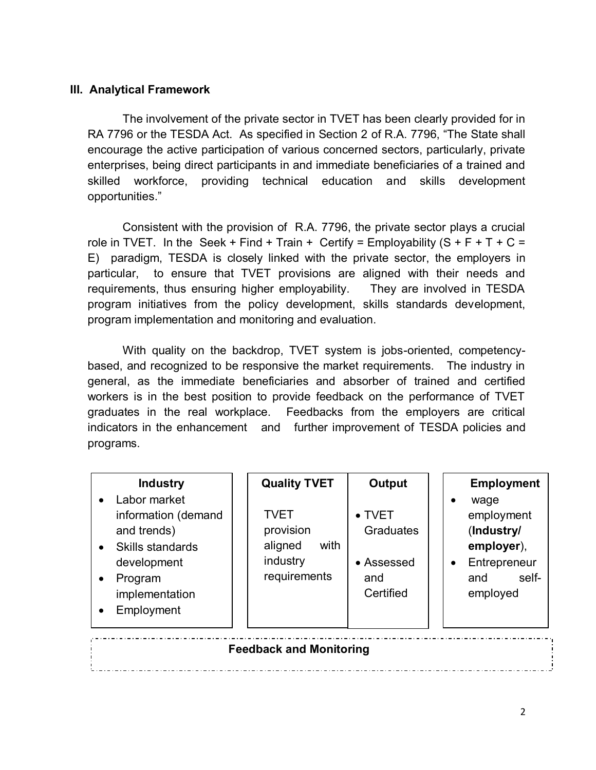#### **III. Analytical Framework**

The involvement of the private sector in TVET has been clearly provided for in RA 7796 or the TESDA Act. As specified in Section 2 of R.A. 7796, "The State shall encourage the active participation of various concerned sectors, particularly, private enterprises, being direct participants in and immediate beneficiaries of a trained and skilled workforce, providing technical education and skills development opportunities."

Consistent with the provision of R.A. 7796, the private sector plays a crucial role in TVET. In the Seek + Find + Train + Certify = Employability  $(S + F + T + C =$ E) paradigm, TESDA is closely linked with the private sector, the employers in particular, to ensure that TVET provisions are aligned with their needs and requirements, thus ensuring higher employability. They are involved in TESDA program initiatives from the policy development, skills standards development, program implementation and monitoring and evaluation.

With quality on the backdrop, TVET system is jobs-oriented, competencybased, and recognized to be responsive the market requirements. The industry in general, as the immediate beneficiaries and absorber of trained and certified workers is in the best position to provide feedback on the performance of TVET graduates in the real workplace. Feedbacks from the employers are critical indicators in the enhancement and further improvement of TESDA policies and programs.

| <b>Industry</b><br>Labor market<br>information (demand<br>and trends)<br>Skills standards | <b>Quality TVET</b><br><b>TVET</b><br>provision<br>with<br>aligned | Output<br>$\bullet$ TVET<br>Graduates | <b>Employment</b><br>wage<br>$\bullet$<br>employment<br>(Industry/<br>employer), |  |  |  |  |  |
|-------------------------------------------------------------------------------------------|--------------------------------------------------------------------|---------------------------------------|----------------------------------------------------------------------------------|--|--|--|--|--|
| development<br>Program<br>implementation<br>Employment<br>$\bullet$                       | industry<br>requirements                                           | • Assessed<br>and<br>Certified        | Entrepreneur<br>$\bullet$<br>self-<br>and<br>employed                            |  |  |  |  |  |
| <b>Feedback and Monitoring</b>                                                            |                                                                    |                                       |                                                                                  |  |  |  |  |  |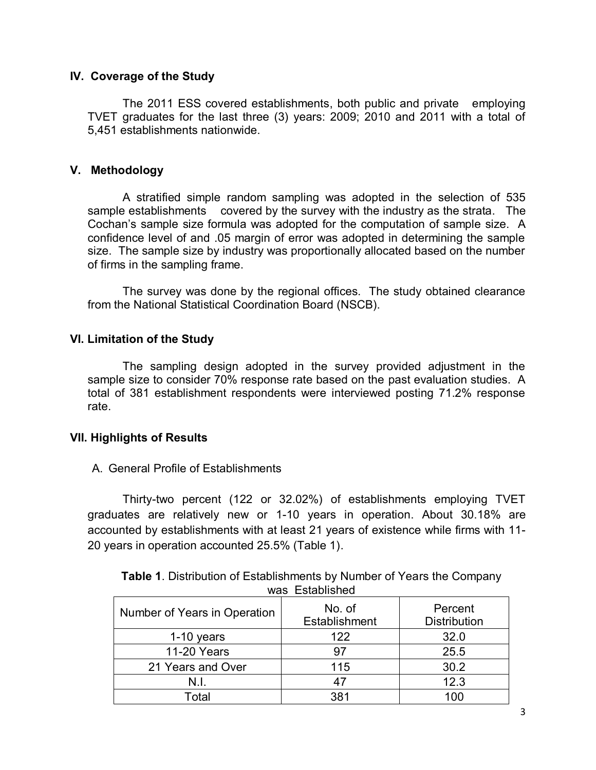#### **IV. Coverage of the Study**

The 2011 ESS covered establishments, both public and private employing TVET graduates for the last three (3) years: 2009; 2010 and 2011 with a total of 5,451 establishments nationwide.

#### **V. Methodology**

A stratified simple random sampling was adopted in the selection of 535 sample establishments covered by the survey with the industry as the strata. The Cochan's sample size formula was adopted for the computation of sample size. A confidence level of and .05 margin of error was adopted in determining the sample size. The sample size by industry was proportionally allocated based on the number of firms in the sampling frame.

The survey was done by the regional offices. The study obtained clearance from the National Statistical Coordination Board (NSCB).

#### **VI. Limitation of the Study**

The sampling design adopted in the survey provided adjustment in the sample size to consider 70% response rate based on the past evaluation studies. A total of 381 establishment respondents were interviewed posting 71.2% response rate.

#### **VII. Highlights of Results**

#### A. General Profile of Establishments

Thirty-two percent (122 or 32.02%) of establishments employing TVET graduates are relatively new or 1-10 years in operation. About 30.18% are accounted by establishments with at least 21 years of existence while firms with 11- 20 years in operation accounted 25.5% (Table 1).

| <b>Table 1.</b> Distribution of Establishments by Number of Years the Company |
|-------------------------------------------------------------------------------|
| was Established                                                               |

| -----------                  |                         |                                |  |  |  |  |
|------------------------------|-------------------------|--------------------------------|--|--|--|--|
| Number of Years in Operation | No. of<br>Establishment | Percent<br><b>Distribution</b> |  |  |  |  |
| $1-10$ years                 | 122                     | 32.0                           |  |  |  |  |
| 11-20 Years                  | 97                      | 25.5                           |  |  |  |  |
| 21 Years and Over            | 115                     | 30.2                           |  |  |  |  |
|                              | 47                      | 12.3                           |  |  |  |  |
| Total                        | 381                     | 100                            |  |  |  |  |

3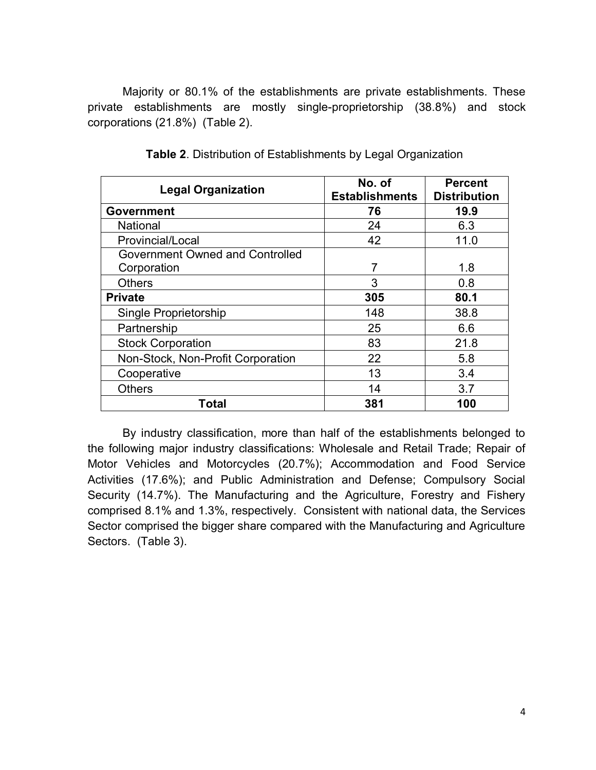Majority or 80.1% of the establishments are private establishments. These private establishments are mostly single-proprietorship (38.8%) and stock corporations (21.8%) (Table 2).

| <b>Legal Organization</b>         | No. of<br><b>Establishments</b> | <b>Percent</b><br><b>Distribution</b> |
|-----------------------------------|---------------------------------|---------------------------------------|
| <b>Government</b>                 | 76                              | 19.9                                  |
| <b>National</b>                   | 24                              | 6.3                                   |
| Provincial/Local                  | 42                              | 11.0                                  |
| Government Owned and Controlled   |                                 |                                       |
| Corporation                       | 7                               | 1.8                                   |
| <b>Others</b>                     | 3                               | 0.8                                   |
| <b>Private</b>                    | 305                             | 80.1                                  |
| Single Proprietorship             | 148                             | 38.8                                  |
| Partnership                       | 25                              | 6.6                                   |
| <b>Stock Corporation</b>          | 83                              | 21.8                                  |
| Non-Stock, Non-Profit Corporation | 22                              | 5.8                                   |
| Cooperative                       | 13                              | 3.4                                   |
| <b>Others</b>                     | 14                              | 3.7                                   |
| Total                             | 381                             | 100                                   |

**Table 2**. Distribution of Establishments by Legal Organization

By industry classification, more than half of the establishments belonged to the following major industry classifications: Wholesale and Retail Trade; Repair of Motor Vehicles and Motorcycles (20.7%); Accommodation and Food Service Activities (17.6%); and Public Administration and Defense; Compulsory Social Security (14.7%). The Manufacturing and the Agriculture, Forestry and Fishery comprised 8.1% and 1.3%, respectively. Consistent with national data, the Services Sector comprised the bigger share compared with the Manufacturing and Agriculture Sectors. (Table 3).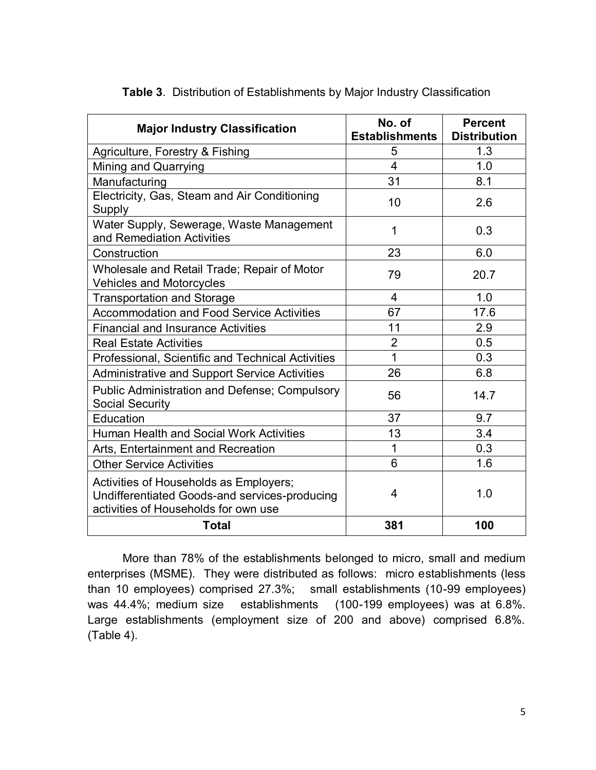| <b>Major Industry Classification</b>                                                                                            | No. of<br><b>Establishments</b> | <b>Percent</b><br><b>Distribution</b> |
|---------------------------------------------------------------------------------------------------------------------------------|---------------------------------|---------------------------------------|
| Agriculture, Forestry & Fishing                                                                                                 | 5                               | 1.3                                   |
| Mining and Quarrying                                                                                                            | $\overline{\mathbf{4}}$         | 1.0                                   |
| Manufacturing                                                                                                                   | 31                              | 8.1                                   |
| Electricity, Gas, Steam and Air Conditioning<br>Supply                                                                          | 10                              | 2.6                                   |
| Water Supply, Sewerage, Waste Management<br>and Remediation Activities                                                          | 1                               | 0.3                                   |
| Construction                                                                                                                    | 23                              | 6.0                                   |
| Wholesale and Retail Trade; Repair of Motor<br><b>Vehicles and Motorcycles</b>                                                  | 79                              | 20.7                                  |
| <b>Transportation and Storage</b>                                                                                               | 4                               | 1.0                                   |
| <b>Accommodation and Food Service Activities</b>                                                                                | 67                              | 17.6                                  |
| <b>Financial and Insurance Activities</b>                                                                                       | 11                              | 2.9                                   |
| <b>Real Estate Activities</b>                                                                                                   | $\overline{2}$                  | 0.5                                   |
| Professional, Scientific and Technical Activities                                                                               | $\overline{1}$                  | 0.3                                   |
| <b>Administrative and Support Service Activities</b>                                                                            | 26                              | 6.8                                   |
| <b>Public Administration and Defense; Compulsory</b><br><b>Social Security</b>                                                  | 56                              | 14.7                                  |
| Education                                                                                                                       | 37                              | 9.7                                   |
| <b>Human Health and Social Work Activities</b>                                                                                  | 13                              | 3.4                                   |
| Arts, Entertainment and Recreation                                                                                              | 1                               | 0.3                                   |
| <b>Other Service Activities</b>                                                                                                 | 6                               | 1.6                                   |
| Activities of Households as Employers;<br>Undifferentiated Goods-and services-producing<br>activities of Households for own use | 4                               | 1.0                                   |
| <b>Total</b>                                                                                                                    | 381                             | 100                                   |

|  |  |  | Table 3. Distribution of Establishments by Major Industry Classification |  |  |  |
|--|--|--|--------------------------------------------------------------------------|--|--|--|
|--|--|--|--------------------------------------------------------------------------|--|--|--|

More than 78% of the establishments belonged to micro, small and medium enterprises (MSME). They were distributed as follows: micro establishments (less than 10 employees) comprised 27.3%; small establishments (10-99 employees) was 44.4%; medium size establishments (100-199 employees) was at 6.8%. Large establishments (employment size of 200 and above) comprised 6.8%. (Table 4).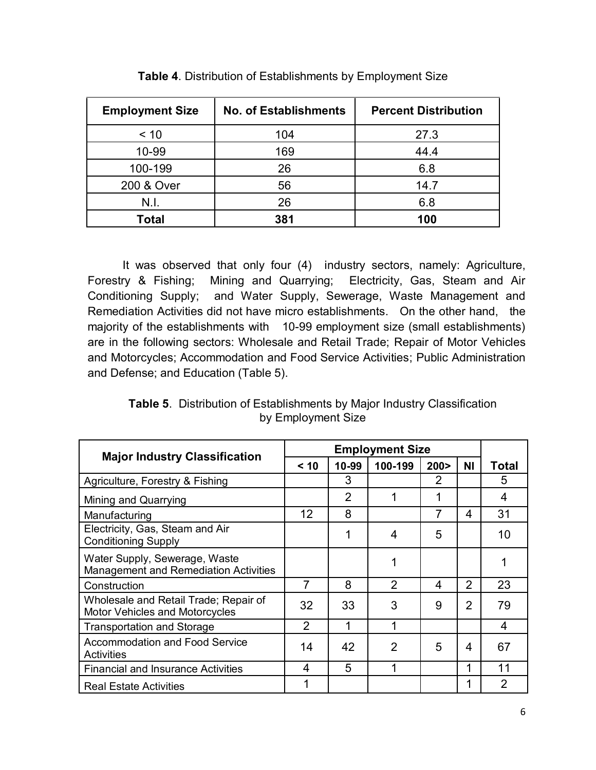| <b>Employment Size</b> | <b>No. of Establishments</b> | <b>Percent Distribution</b> |  |  |
|------------------------|------------------------------|-----------------------------|--|--|
| < 10                   | 104                          | 27.3                        |  |  |
| 10-99                  | 169                          | 44.4                        |  |  |
| 100-199                | 26                           | 6.8                         |  |  |
| 200 & Over             | 56                           | 14.7                        |  |  |
| N.I.                   | 26                           | 6.8                         |  |  |
| Total                  | 381                          | 100                         |  |  |

**Table 4**. Distribution of Establishments by Employment Size

It was observed that only four (4) industry sectors, namely: Agriculture, Forestry & Fishing; Mining and Quarrying; Electricity, Gas, Steam and Air Conditioning Supply; and Water Supply, Sewerage, Waste Management and Remediation Activities did not have micro establishments. On the other hand, the majority of the establishments with 10-99 employment size (small establishments) are in the following sectors: Wholesale and Retail Trade; Repair of Motor Vehicles and Motorcycles; Accommodation and Food Service Activities; Public Administration and Defense; and Education (Table 5).

**Table 5**. Distribution of Establishments by Major Industry Classification by Employment Size

| <b>Major Industry Classification</b>                                    | <b>Employment Size</b> |                |                |                |                |                |
|-------------------------------------------------------------------------|------------------------|----------------|----------------|----------------|----------------|----------------|
|                                                                         | < 10                   | 10-99          | 100-199        | 200 >          | ΝI             | Total          |
| Agriculture, Forestry & Fishing                                         |                        | 3              |                | 2              |                | 5              |
| Mining and Quarrying                                                    |                        | $\overline{2}$ | 1              | 1              |                | 4              |
| Manufacturing                                                           | 12                     | 8              |                | $\overline{7}$ | 4              | 31             |
| Electricity, Gas, Steam and Air<br><b>Conditioning Supply</b>           |                        | 1              | 4              | 5              |                | 10             |
| Water Supply, Sewerage, Waste<br>Management and Remediation Activities  |                        |                |                |                |                |                |
| Construction                                                            | 7                      | 8              | $\mathcal{P}$  | 4              | 2              | 23             |
| Wholesale and Retail Trade; Repair of<br>Motor Vehicles and Motorcycles | 32                     | 33             | 3              | 9              | $\overline{2}$ | 79             |
| <b>Transportation and Storage</b>                                       | $\overline{2}$         | 1              | 1              |                |                | 4              |
| Accommodation and Food Service<br>Activities                            | 14                     | 42             | $\overline{2}$ | 5              | 4              | 67             |
| <b>Financial and Insurance Activities</b>                               | 4                      | 5              |                |                | 1              | 11             |
| <b>Real Estate Activities</b>                                           |                        |                |                |                |                | $\overline{2}$ |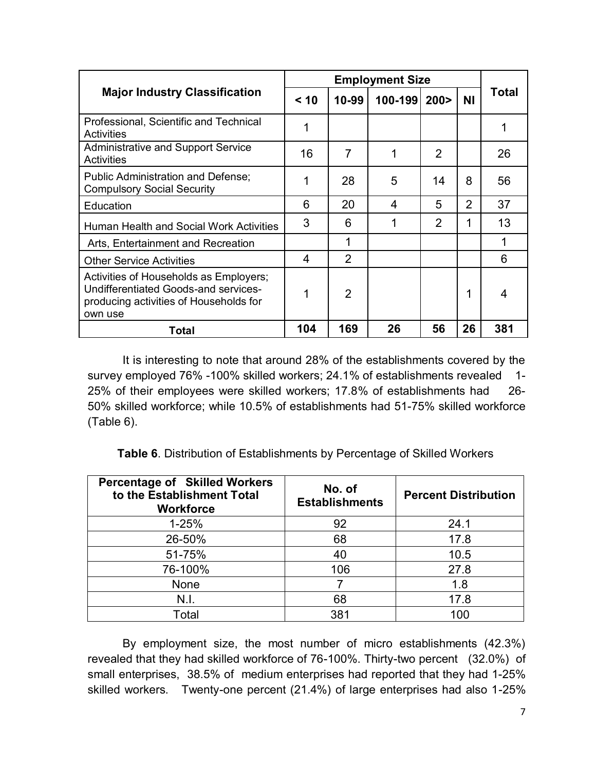|                                                                                                                                     |      |                | <b>Employment Size</b> |                |                |              |
|-------------------------------------------------------------------------------------------------------------------------------------|------|----------------|------------------------|----------------|----------------|--------------|
| <b>Major Industry Classification</b>                                                                                                | < 10 | 10-99          | 100-199 200>           |                | <b>NI</b>      | <b>Total</b> |
| Professional, Scientific and Technical<br>Activities                                                                                | 1    |                |                        |                |                |              |
| Administrative and Support Service<br>Activities                                                                                    | 16   | $\overline{7}$ | 1                      | 2              |                | 26           |
| <b>Public Administration and Defense;</b><br><b>Compulsory Social Security</b>                                                      |      | 28             | 5                      | 14             | 8              | 56           |
| Education                                                                                                                           | 6    | 20             | 4                      | 5              | $\overline{2}$ | 37           |
| Human Health and Social Work Activities                                                                                             | 3    | 6              |                        | $\overline{2}$ |                | 13           |
| Arts, Entertainment and Recreation                                                                                                  |      | 1              |                        |                |                | 1            |
| <b>Other Service Activities</b>                                                                                                     | 4    | $\overline{2}$ |                        |                |                | 6            |
| Activities of Households as Employers;<br>Undifferentiated Goods-and services-<br>producing activities of Households for<br>own use | 1    | $\overline{2}$ |                        |                |                | 4            |
| Total                                                                                                                               | 104  | 169            | 26                     | 56             | 26             | 381          |

It is interesting to note that around 28% of the establishments covered by the survey employed 76% -100% skilled workers; 24.1% of establishments revealed 1- 25% of their employees were skilled workers; 17.8% of establishments had 26- 50% skilled workforce; while 10.5% of establishments had 51-75% skilled workforce (Table 6).

**Table 6**. Distribution of Establishments by Percentage of Skilled Workers

| <b>Percentage of Skilled Workers</b><br>to the Establishment Total<br><b>Workforce</b> | No. of<br><b>Establishments</b> | <b>Percent Distribution</b> |  |  |
|----------------------------------------------------------------------------------------|---------------------------------|-----------------------------|--|--|
| $1 - 25%$                                                                              | 92                              | 24.1                        |  |  |
| 26-50%                                                                                 | 68                              | 17.8                        |  |  |
| 51-75%                                                                                 | 40                              | 10.5                        |  |  |
| 76-100%                                                                                | 106                             | 27.8                        |  |  |
| None                                                                                   |                                 | 1.8                         |  |  |
| N.I.                                                                                   | 68                              | 17.8                        |  |  |
| Total                                                                                  | 381                             | 100                         |  |  |

By employment size, the most number of micro establishments (42.3%) revealed that they had skilled workforce of 76-100%. Thirty-two percent (32.0%) of small enterprises, 38.5% of medium enterprises had reported that they had 1-25% skilled workers. Twenty-one percent (21.4%) of large enterprises had also 1-25%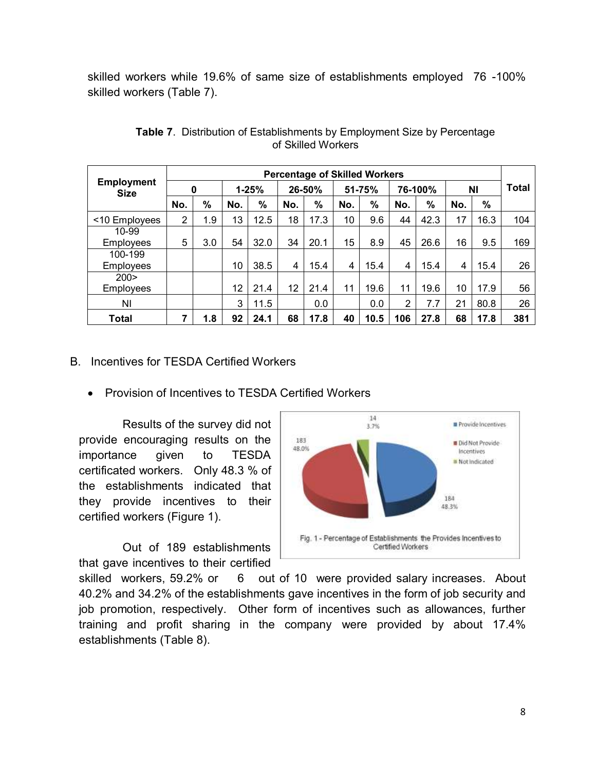skilled workers while 19.6% of same size of establishments employed 76 -100% skilled workers (Table 7).

|                                  | <b>Percentage of Skilled Workers</b> |               |     |               |     |        |        |      |         |               |           |      |              |
|----------------------------------|--------------------------------------|---------------|-----|---------------|-----|--------|--------|------|---------|---------------|-----------|------|--------------|
| <b>Employment</b><br><b>Size</b> |                                      | 0             |     | $1 - 25%$     |     | 26-50% | 51-75% |      | 76-100% |               | <b>NI</b> |      | <b>Total</b> |
|                                  | No.                                  | $\frac{0}{0}$ | No. | $\frac{9}{6}$ | No. | %      | No.    | %    | No.     | $\frac{9}{6}$ | No.       | $\%$ |              |
| <10 Employees                    | $\overline{2}$                       | 1.9           | 13  | 12.5          | 18  | 17.3   | 10     | 9.6  | 44      | 42.3          | 17        | 16.3 | 104          |
| $10 - 99$                        |                                      |               |     |               |     |        |        |      |         |               |           |      |              |
| Employees                        | 5                                    | 3.0           | 54  | 32.0          | 34  | 20.1   | 15     | 8.9  | 45      | 26.6          | 16        | 9.5  | 169          |
| 100-199                          |                                      |               |     |               |     |        |        |      |         |               |           |      |              |
| <b>Employees</b>                 |                                      |               | 10  | 38.5          | 4   | 15.4   | 4      | 15.4 | 4       | 15.4          | 4         | 15.4 | 26           |
| 200 >                            |                                      |               |     |               |     |        |        |      |         |               |           |      |              |
| <b>Employees</b>                 |                                      |               | 12  | 21.4          | 12  | 21.4   | 11     | 19.6 | 11      | 19.6          | 10        | 17.9 | 56           |
| ΝI                               |                                      |               | 3   | 11.5          |     | 0.0    |        | 0.0  | 2       | 7.7           | 21        | 80.8 | 26           |
| Total                            | 7                                    | 1.8           | 92  | 24.1          | 68  | 17.8   | 40     | 10.5 | 106     | 27.8          | 68        | 17.8 | 381          |

**Table 7**. Distribution of Establishments by Employment Size by Percentage of Skilled Workers

#### B. Incentives for TESDA Certified Workers

• Provision of Incentives to TESDA Certified Workers

Results of the survey did not provide encouraging results on the importance given to TESDA certificated workers. Only 48.3 % of the establishments indicated that they provide incentives to their certified workers (Figure 1).

Out of 189 establishments that gave incentives to their certified



skilled workers, 59.2% or 6 out of 10 were provided salary increases. About 40.2% and 34.2% of the establishments gave incentives in the form of job security and job promotion, respectively. Other form of incentives such as allowances, further training and profit sharing in the company were provided by about 17.4% establishments (Table 8).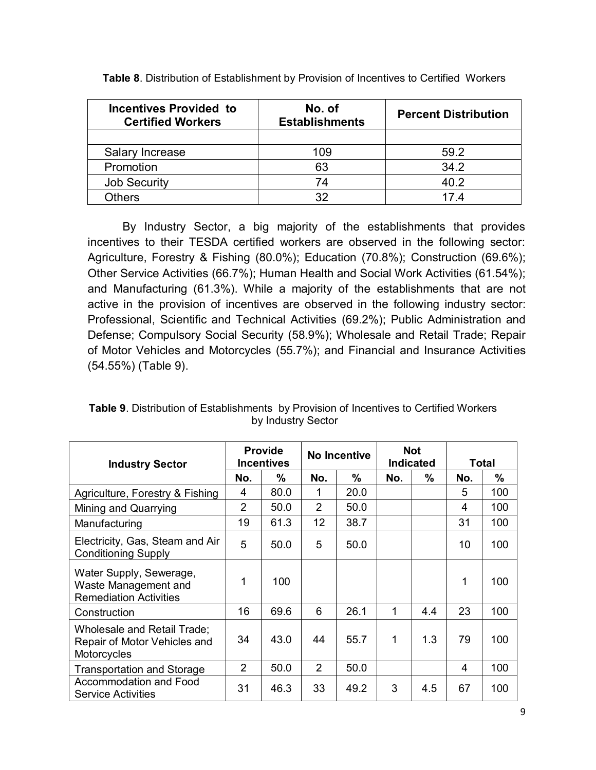| <b>Incentives Provided to</b><br><b>Certified Workers</b> | <b>Percent Distribution</b> |      |
|-----------------------------------------------------------|-----------------------------|------|
|                                                           |                             |      |
| Salary Increase                                           | 109                         | 59.2 |
| Promotion                                                 | 63                          | 34.2 |
| <b>Job Security</b>                                       | 74                          | 40.2 |
| <b>Others</b>                                             | 32                          | 17 4 |

**Table 8**. Distribution of Establishment by Provision of Incentives to Certified Workers

By Industry Sector, a big majority of the establishments that provides incentives to their TESDA certified workers are observed in the following sector: Agriculture, Forestry & Fishing (80.0%); Education (70.8%); Construction (69.6%); Other Service Activities (66.7%); Human Health and Social Work Activities (61.54%); and Manufacturing (61.3%). While a majority of the establishments that are not active in the provision of incentives are observed in the following industry sector: Professional, Scientific and Technical Activities (69.2%); Public Administration and Defense; Compulsory Social Security (58.9%); Wholesale and Retail Trade; Repair of Motor Vehicles and Motorcycles (55.7%); and Financial and Insurance Activities (54.55%) (Table 9).

| <b>Industry Sector</b>                                                           |                | <b>Provide</b><br><b>Incentives</b> |                | No Incentive | <b>Indicated</b> | <b>Not</b>    | <b>Total</b> |     |  |
|----------------------------------------------------------------------------------|----------------|-------------------------------------|----------------|--------------|------------------|---------------|--------------|-----|--|
|                                                                                  | No.            | %                                   | No.            | %            | No.              | $\frac{0}{0}$ | No.          | %   |  |
| Agriculture, Forestry & Fishing                                                  | 4              | 80.0                                | 1              | 20.0         |                  |               | 5            | 100 |  |
| Mining and Quarrying                                                             | $\overline{2}$ | 50.0                                | $\overline{2}$ | 50.0         |                  |               | 4            | 100 |  |
| Manufacturing                                                                    | 19             | 61.3                                | 12             | 38.7         |                  |               | 31           | 100 |  |
| Electricity, Gas, Steam and Air<br><b>Conditioning Supply</b>                    | 5              | 50.0                                | 5              | 50.0         |                  |               | 10           | 100 |  |
| Water Supply, Sewerage,<br>Waste Management and<br><b>Remediation Activities</b> | 1              | 100                                 |                |              |                  |               | 1            | 100 |  |
| Construction                                                                     | 16             | 69.6                                | 6              | 26.1         | 1                | 4.4           | 23           | 100 |  |
| Wholesale and Retail Trade;<br>Repair of Motor Vehicles and<br>Motorcycles       | 34             | 43.0                                | 44             | 55.7         | 1                | 1.3           | 79           | 100 |  |
| <b>Transportation and Storage</b>                                                | 2              | 50.0                                | $\overline{2}$ | 50.0         |                  |               | 4            | 100 |  |
| Accommodation and Food<br><b>Service Activities</b>                              | 31             | 46.3                                | 33             | 49.2         | 3                | 4.5           | 67           | 100 |  |

**Table 9**. Distribution of Establishments by Provision of Incentives to Certified Workers by Industry Sector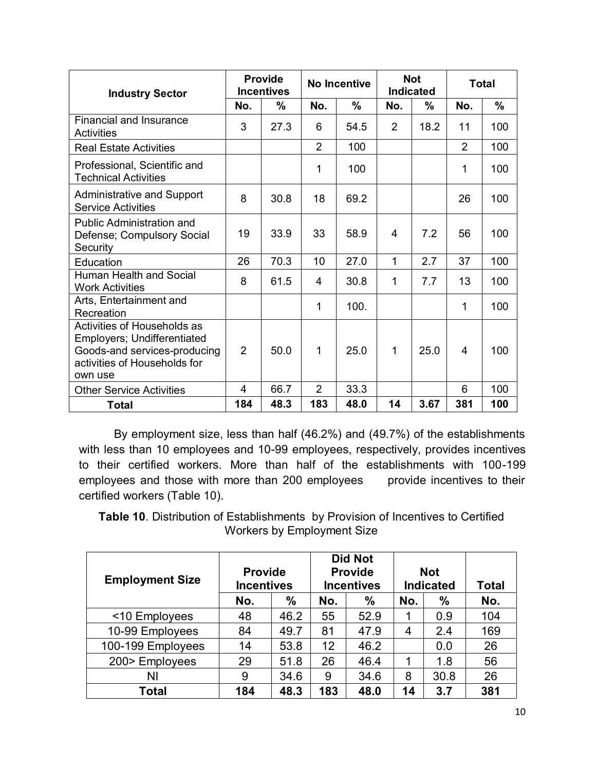| <b>Industry Sector</b>                                                                                                                |                | <b>Provide</b><br><b>Incentives</b> |                | <b>No Incentive</b> |                | <b>Not</b><br><b>Indicated</b> | <b>Total</b>   |      |
|---------------------------------------------------------------------------------------------------------------------------------------|----------------|-------------------------------------|----------------|---------------------|----------------|--------------------------------|----------------|------|
|                                                                                                                                       | No.            | $\%$                                | No.            | %                   | No.            | $\frac{0}{0}$                  | No.            | $\%$ |
| Financial and Insurance<br><b>Activities</b>                                                                                          | 3              | 27.3                                | 6              | 54.5                | $\overline{2}$ | 18.2                           | 11             | 100  |
| <b>Real Estate Activities</b>                                                                                                         |                |                                     | $\overline{2}$ | 100                 |                |                                | $\overline{2}$ | 100  |
| Professional, Scientific and<br><b>Technical Activities</b>                                                                           |                |                                     | 1              | 100                 |                |                                | 1              | 100  |
| <b>Administrative and Support</b><br><b>Service Activities</b>                                                                        | 8              | 30.8                                | 18             | 69.2                |                |                                | 26             | 100  |
| <b>Public Administration and</b><br>Defense; Compulsory Social<br>Security                                                            | 19             | 33.9                                | 33             | 58.9                | 4              | 7.2                            | 56             | 100  |
| Education                                                                                                                             | 26             | 70.3                                | 10             | 27.0                | 1              | 2.7                            | 37             | 100  |
| Human Health and Social<br><b>Work Activities</b>                                                                                     | 8              | 61.5                                | 4              | 30.8                | 1              | 7.7                            | 13             | 100  |
| Arts, Entertainment and<br>Recreation                                                                                                 |                |                                     | 1              | 100.                |                |                                | 1              | 100  |
| Activities of Households as<br>Employers; Undifferentiated<br>Goods-and services-producing<br>activities of Households for<br>own use | $\overline{2}$ | 50.0                                | 1              | 25.0                | 1              | 25.0                           | 4              | 100  |
| <b>Other Service Activities</b>                                                                                                       | $\overline{4}$ | 66.7                                | $\overline{2}$ | 33.3                |                |                                | 6              | 100  |
| <b>Total</b>                                                                                                                          | 184            | 48.3                                | 183            | 48.0                | 14             | 3.67                           | 381            | 100  |

By employment size, less than half (46.2%) and (49.7%) of the establishments with less than 10 employees and 10-99 employees, respectively, provides incentives to their certified workers. More than half of the establishments with 100-199 employees and those with more than 200 employees provide incentives to their certified workers (Table 10).

**Table 10**. Distribution of Establishments by Provision of Incentives to Certified Workers by Employment Size

| <b>Employment Size</b> | <b>Provide</b><br><b>Incentives</b> |               |     | <b>Did Not</b><br><b>Provide</b><br><b>Incentives</b> |     | <b>Not</b><br><b>Indicated</b> | <b>Total</b> |
|------------------------|-------------------------------------|---------------|-----|-------------------------------------------------------|-----|--------------------------------|--------------|
|                        | No.                                 | $\frac{0}{0}$ | No. | $\frac{0}{0}$                                         | No. | $\%$                           | No.          |
| <10 Employees          | 48                                  | 46.2          | 55  | 52.9                                                  | 1   | 0.9                            | 104          |
| 10-99 Employees        | 84                                  | 49.7          | 81  | 47.9                                                  | 4   | 2.4                            | 169          |
| 100-199 Employees      | 14                                  | 53.8          | 12  | 46.2                                                  |     | 0.0                            | 26           |
| 200> Employees         | 29                                  | 51.8          | 26  | 46.4                                                  |     | 1.8                            | 56           |
| ΝI                     | 9                                   | 34.6          | 9   | 34.6                                                  | 8   | 30.8                           | 26           |
| Total                  | 184                                 | 48.3          | 183 | 48.0                                                  | 14  | 3.7                            | 381          |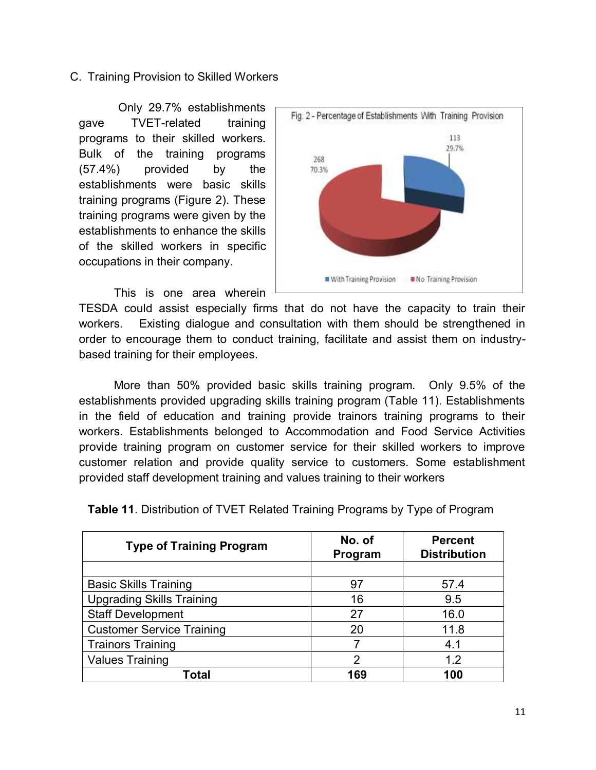#### C. Training Provision to Skilled Workers

 Only 29.7% establishments gave TVET-related training programs to their skilled workers. Bulk of the training programs (57.4%) provided by the establishments were basic skills training programs (Figure 2). These training programs were given by the establishments to enhance the skills of the skilled workers in specific occupations in their company.

This is one area wherein



TESDA could assist especially firms that do not have the capacity to train their workers. Existing dialogue and consultation with them should be strengthened in order to encourage them to conduct training, facilitate and assist them on industrybased training for their employees.

More than 50% provided basic skills training program. Only 9.5% of the establishments provided upgrading skills training program (Table 11). Establishments in the field of education and training provide trainors training programs to their workers. Establishments belonged to Accommodation and Food Service Activities provide training program on customer service for their skilled workers to improve customer relation and provide quality service to customers. Some establishment provided staff development training and values training to their workers

| <b>Type of Training Program</b>  | No. of<br>Program | <b>Percent</b><br><b>Distribution</b> |
|----------------------------------|-------------------|---------------------------------------|
|                                  |                   |                                       |
| <b>Basic Skills Training</b>     | 97                | 57.4                                  |
| <b>Upgrading Skills Training</b> | 16                | 9.5                                   |
| <b>Staff Development</b>         | 27                | 16.0                                  |
| <b>Customer Service Training</b> | 20                | 11.8                                  |
| <b>Trainors Training</b>         |                   | 4.1                                   |
| <b>Values Training</b>           | 2                 | 1.2                                   |
| Total                            | 169               | 100                                   |

**Table 11**. Distribution of TVET Related Training Programs by Type of Program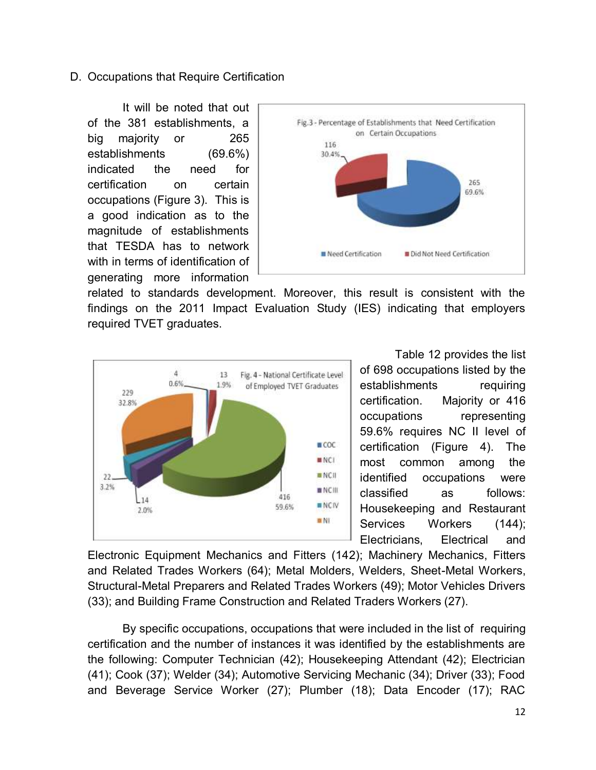#### D. Occupations that Require Certification

It will be noted that out of the 381 establishments, a big majority or 265 establishments (69.6%) indicated the need for certification on certain occupations (Figure 3). This is a good indication as to the magnitude of establishments that TESDA has to network with in terms of identification of generating more information



related to standards development. Moreover, this result is consistent with the findings on the 2011 Impact Evaluation Study (IES) indicating that employers required TVET graduates.



Table 12 provides the list of 698 occupations listed by the establishments requiring certification. Majority or 416 occupations representing 59.6% requires NC II level of certification (Figure 4). The most common among the identified occupations were classified as follows: Housekeeping and Restaurant Services Workers (144); Electricians, Electrical and

Electronic Equipment Mechanics and Fitters (142); Machinery Mechanics, Fitters and Related Trades Workers (64); Metal Molders, Welders, Sheet-Metal Workers, Structural-Metal Preparers and Related Trades Workers (49); Motor Vehicles Drivers (33); and Building Frame Construction and Related Traders Workers (27).

By specific occupations, occupations that were included in the list of requiring certification and the number of instances it was identified by the establishments are the following: Computer Technician (42); Housekeeping Attendant (42); Electrician (41); Cook (37); Welder (34); Automotive Servicing Mechanic (34); Driver (33); Food and Beverage Service Worker (27); Plumber (18); Data Encoder (17); RAC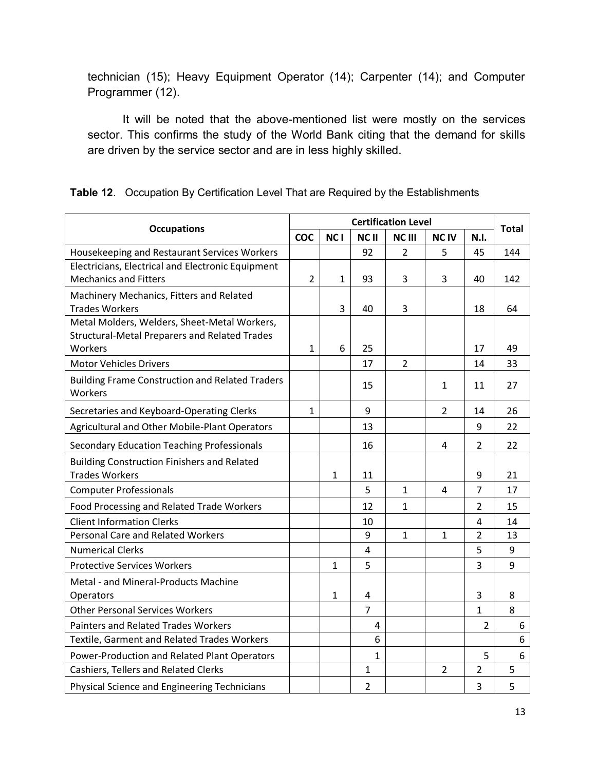technician (15); Heavy Equipment Operator (14); Carpenter (14); and Computer Programmer (12).

It will be noted that the above-mentioned list were mostly on the services sector. This confirms the study of the World Bank citing that the demand for skills are driven by the service sector and are in less highly skilled.

|                                                                                   |                |                 |                | <b>Certification Level</b> |                |                | <b>Total</b> |
|-----------------------------------------------------------------------------------|----------------|-----------------|----------------|----------------------------|----------------|----------------|--------------|
| <b>Occupations</b>                                                                | <b>COC</b>     | NC <sub>1</sub> | NC II          | <b>NCIII</b>               | <b>NCIV</b>    | <b>N.I.</b>    |              |
| Housekeeping and Restaurant Services Workers                                      |                |                 | 92             | $\overline{2}$             | 5              | 45             | 144          |
| Electricians, Electrical and Electronic Equipment<br><b>Mechanics and Fitters</b> | $\overline{2}$ |                 | 93             | 3                          | 3              | 40             | 142          |
|                                                                                   |                | 1               |                |                            |                |                |              |
| Machinery Mechanics, Fitters and Related<br><b>Trades Workers</b>                 |                | 3               | 40             | 3                          |                | 18             | 64           |
| Metal Molders, Welders, Sheet-Metal Workers,                                      |                |                 |                |                            |                |                |              |
| <b>Structural-Metal Preparers and Related Trades</b><br>Workers                   | $\mathbf{1}$   | 6               | 25             |                            |                | 17             | 49           |
| <b>Motor Vehicles Drivers</b>                                                     |                |                 | 17             | $\overline{2}$             |                | 14             | 33           |
| <b>Building Frame Construction and Related Traders</b><br>Workers                 |                |                 | 15             |                            | $\mathbf{1}$   | 11             | 27           |
| Secretaries and Keyboard-Operating Clerks                                         | 1              |                 | 9              |                            | $\overline{2}$ | 14             | 26           |
| Agricultural and Other Mobile-Plant Operators                                     |                |                 | 13             |                            |                | 9              | 22           |
| <b>Secondary Education Teaching Professionals</b>                                 |                |                 | 16             |                            | 4              | $\overline{2}$ | 22           |
| <b>Building Construction Finishers and Related</b><br><b>Trades Workers</b>       |                | $\mathbf{1}$    | 11             |                            |                | 9              | 21           |
| <b>Computer Professionals</b>                                                     |                |                 | 5              | $\mathbf{1}$               | 4              | $\overline{7}$ | 17           |
| Food Processing and Related Trade Workers                                         |                |                 | 12             | $\mathbf{1}$               |                | $\overline{2}$ | 15           |
| <b>Client Information Clerks</b>                                                  |                |                 | 10             |                            |                | 4              | 14           |
| <b>Personal Care and Related Workers</b>                                          |                |                 | 9              | $\mathbf{1}$               | 1              | $\overline{2}$ | 13           |
| <b>Numerical Clerks</b>                                                           |                |                 | $\overline{4}$ |                            |                | 5              | 9            |
| <b>Protective Services Workers</b>                                                |                | $\mathbf{1}$    | 5              |                            |                | 3              | 9            |
| Metal - and Mineral-Products Machine                                              |                |                 |                |                            |                |                |              |
| Operators                                                                         |                | $\mathbf{1}$    | 4              |                            |                | 3              | 8            |
| <b>Other Personal Services Workers</b>                                            |                |                 | $\overline{7}$ |                            |                | $\mathbf{1}$   | 8            |
| <b>Painters and Related Trades Workers</b>                                        |                |                 | 4              |                            |                | $\overline{2}$ | 6            |
| Textile, Garment and Related Trades Workers                                       |                |                 | 6              |                            |                |                | 6            |
| Power-Production and Related Plant Operators                                      |                |                 | $\mathbf{1}$   |                            |                | 5              | 6            |
| Cashiers, Tellers and Related Clerks                                              |                |                 | 1              |                            | $\overline{2}$ | 2              | 5            |
| Physical Science and Engineering Technicians                                      |                |                 | $\overline{2}$ |                            |                | 3              | 5            |

**Table 12**. Occupation By Certification Level That are Required by the Establishments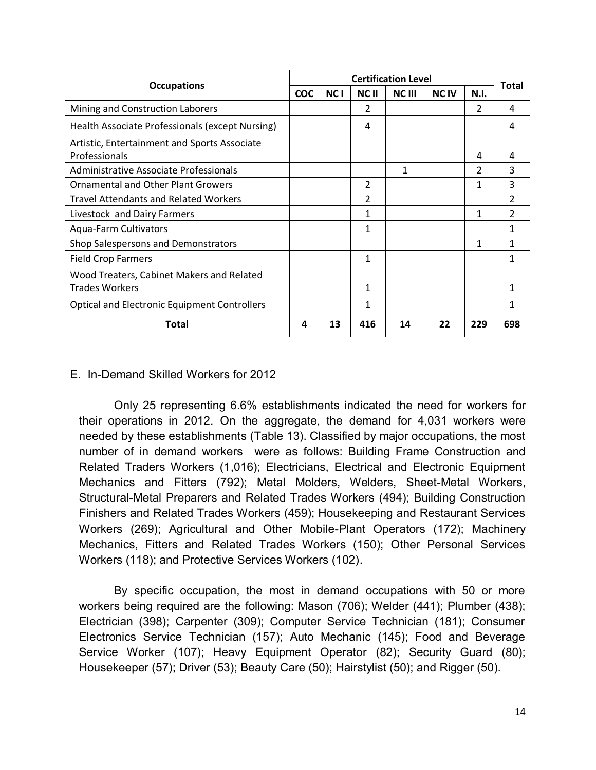|                                                                    |            |            |                | <b>Certification Level</b> |                        |                | <b>Total</b>   |
|--------------------------------------------------------------------|------------|------------|----------------|----------------------------|------------------------|----------------|----------------|
| <b>Occupations</b>                                                 | <b>COC</b> | <b>NCI</b> | <b>NCII</b>    | <b>NC III</b>              | <b>NC<sub>IV</sub></b> | <b>N.I.</b>    |                |
| Mining and Construction Laborers                                   |            |            | 2              |                            |                        | $\overline{2}$ | 4              |
| Health Associate Professionals (except Nursing)                    |            |            | 4              |                            |                        |                | 4              |
| Artistic, Entertainment and Sports Associate<br>Professionals      |            |            |                |                            |                        | 4              | Δ              |
| Administrative Associate Professionals                             |            |            |                | 1                          |                        | $\overline{2}$ | 3              |
| <b>Ornamental and Other Plant Growers</b>                          |            |            | $\overline{2}$ |                            |                        | 1              | 3              |
| <b>Travel Attendants and Related Workers</b>                       |            |            | $\overline{2}$ |                            |                        |                | $\mathcal{P}$  |
| Livestock and Dairy Farmers                                        |            |            | 1              |                            |                        | 1              | $\overline{2}$ |
| Aqua-Farm Cultivators                                              |            |            | 1              |                            |                        |                |                |
| Shop Salespersons and Demonstrators                                |            |            |                |                            |                        | 1              | 1              |
| <b>Field Crop Farmers</b>                                          |            |            | 1              |                            |                        |                | 1              |
| Wood Treaters, Cabinet Makers and Related<br><b>Trades Workers</b> |            |            | 1              |                            |                        |                |                |
| <b>Optical and Electronic Equipment Controllers</b>                |            |            | 1              |                            |                        |                | 1              |
| Total                                                              | 4          | 13         | 416            | 14                         | 22                     | 229            | 698            |

#### E. In-Demand Skilled Workers for 2012

Only 25 representing 6.6% establishments indicated the need for workers for their operations in 2012. On the aggregate, the demand for 4,031 workers were needed by these establishments (Table 13). Classified by major occupations, the most number of in demand workers were as follows: Building Frame Construction and Related Traders Workers (1,016); Electricians, Electrical and Electronic Equipment Mechanics and Fitters (792); Metal Molders, Welders, Sheet-Metal Workers, Structural-Metal Preparers and Related Trades Workers (494); Building Construction Finishers and Related Trades Workers (459); Housekeeping and Restaurant Services Workers (269); Agricultural and Other Mobile-Plant Operators (172); Machinery Mechanics, Fitters and Related Trades Workers (150); Other Personal Services Workers (118); and Protective Services Workers (102).

By specific occupation, the most in demand occupations with 50 or more workers being required are the following: Mason (706); Welder (441); Plumber (438); Electrician (398); Carpenter (309); Computer Service Technician (181); Consumer Electronics Service Technician (157); Auto Mechanic (145); Food and Beverage Service Worker (107); Heavy Equipment Operator (82); Security Guard (80); Housekeeper (57); Driver (53); Beauty Care (50); Hairstylist (50); and Rigger (50).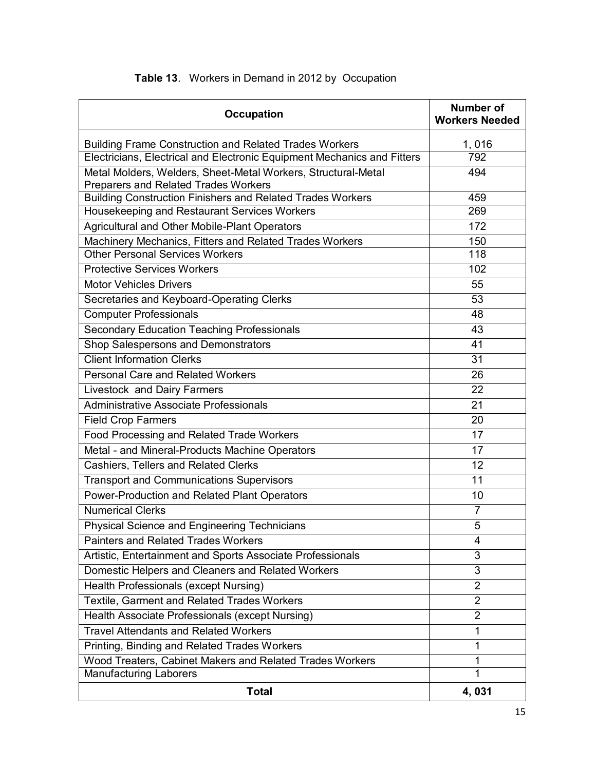| <b>Occupation</b>                                                                                            | <b>Number of</b><br><b>Workers Needed</b> |
|--------------------------------------------------------------------------------------------------------------|-------------------------------------------|
| <b>Building Frame Construction and Related Trades Workers</b>                                                | 1,016                                     |
| Electricians, Electrical and Electronic Equipment Mechanics and Fitters                                      | 792                                       |
| Metal Molders, Welders, Sheet-Metal Workers, Structural-Metal<br><b>Preparers and Related Trades Workers</b> | 494                                       |
| <b>Building Construction Finishers and Related Trades Workers</b>                                            | 459                                       |
| Housekeeping and Restaurant Services Workers                                                                 | 269                                       |
| Agricultural and Other Mobile-Plant Operators                                                                | 172                                       |
| Machinery Mechanics, Fitters and Related Trades Workers                                                      | 150                                       |
| <b>Other Personal Services Workers</b>                                                                       | 118                                       |
| <b>Protective Services Workers</b>                                                                           | 102                                       |
| <b>Motor Vehicles Drivers</b>                                                                                | 55                                        |
| Secretaries and Keyboard-Operating Clerks                                                                    | 53                                        |
| <b>Computer Professionals</b>                                                                                | 48                                        |
| <b>Secondary Education Teaching Professionals</b>                                                            | 43                                        |
| Shop Salespersons and Demonstrators                                                                          | 41                                        |
| <b>Client Information Clerks</b>                                                                             | 31                                        |
| <b>Personal Care and Related Workers</b>                                                                     | 26                                        |
| Livestock and Dairy Farmers                                                                                  | 22                                        |
| <b>Administrative Associate Professionals</b>                                                                | 21                                        |
| <b>Field Crop Farmers</b>                                                                                    | 20                                        |
| Food Processing and Related Trade Workers                                                                    | 17                                        |
| Metal - and Mineral-Products Machine Operators                                                               | 17                                        |
| Cashiers, Tellers and Related Clerks                                                                         | 12                                        |
| <b>Transport and Communications Supervisors</b>                                                              | 11                                        |
| Power-Production and Related Plant Operators                                                                 | 10                                        |
| <b>Numerical Clerks</b>                                                                                      | $\overline{7}$                            |
| Physical Science and Engineering Technicians                                                                 | 5                                         |
| <b>Painters and Related Trades Workers</b>                                                                   | 4                                         |
| Artistic, Entertainment and Sports Associate Professionals                                                   | 3                                         |
| Domestic Helpers and Cleaners and Related Workers                                                            | 3                                         |
| Health Professionals (except Nursing)                                                                        | $\overline{2}$                            |
| Textile, Garment and Related Trades Workers                                                                  | $\overline{2}$                            |
| Health Associate Professionals (except Nursing)                                                              | $\overline{2}$                            |
| <b>Travel Attendants and Related Workers</b>                                                                 | 1                                         |
| Printing, Binding and Related Trades Workers                                                                 | 1                                         |
| Wood Treaters, Cabinet Makers and Related Trades Workers                                                     | 1                                         |
| <b>Manufacturing Laborers</b>                                                                                | 1                                         |
| <b>Total</b>                                                                                                 | 4,031                                     |

## **Table 13**. Workers in Demand in 2012 by Occupation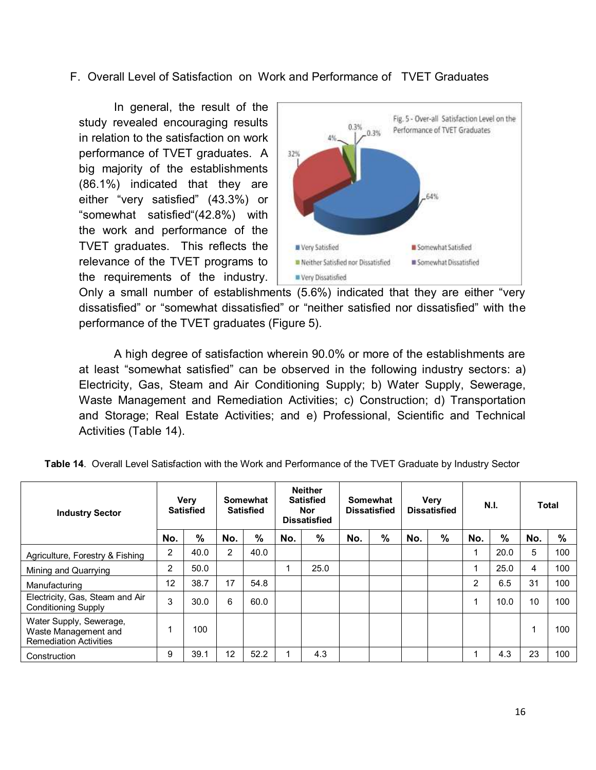#### F. Overall Level of Satisfaction on Work and Performance of TVET Graduates

In general, the result of the study revealed encouraging results in relation to the satisfaction on work performance of TVET graduates. A big majority of the establishments (86.1%) indicated that they are either "very satisfied" (43.3%) or "somewhat satisfied"(42.8%) with the work and performance of the TVET graduates. This reflects the relevance of the TVET programs to the requirements of the industry.



Only a small number of establishments (5.6%) indicated that they are either "very dissatisfied" or "somewhat dissatisfied" or "neither satisfied nor dissatisfied" with the performance of the TVET graduates (Figure 5).

A high degree of satisfaction wherein 90.0% or more of the establishments are at least "somewhat satisfied" can be observed in the following industry sectors: a) Electricity, Gas, Steam and Air Conditioning Supply; b) Water Supply, Sewerage, Waste Management and Remediation Activities; c) Construction; d) Transportation and Storage; Real Estate Activities; and e) Professional, Scientific and Technical Activities (Table 14).

| <b>Industry Sector</b>                                                           |                | <b>Very</b><br><b>Satisfied</b> | Somewhat<br><b>Satisfied</b> |      | <b>Neither</b><br><b>Satisfied</b><br>Nor<br><b>Dissatisfied</b> |      | Somewhat<br><b>Dissatisfied</b> |   | Very<br><b>Dissatisfied</b> |   | N.I. |      | Total |      |
|----------------------------------------------------------------------------------|----------------|---------------------------------|------------------------------|------|------------------------------------------------------------------|------|---------------------------------|---|-----------------------------|---|------|------|-------|------|
|                                                                                  | No.            | %                               | No.                          | %    | No.                                                              | %    | No.                             | % | No.                         | % | No.  | %    | No.   | $\%$ |
| Agriculture, Forestry & Fishing                                                  | 2              | 40.0                            | $\overline{2}$               | 40.0 |                                                                  |      |                                 |   |                             |   |      | 20.0 | 5     | 100  |
| Mining and Quarrying                                                             | $\overline{2}$ | 50.0                            |                              |      | 4                                                                | 25.0 |                                 |   |                             |   | 1    | 25.0 | 4     | 100  |
| Manufacturing                                                                    | 12             | 38.7                            | 17                           | 54.8 |                                                                  |      |                                 |   |                             |   | 2    | 6.5  | 31    | 100  |
| Electricity, Gas, Steam and Air<br><b>Conditioning Supply</b>                    | 3              | 30.0                            | 6                            | 60.0 |                                                                  |      |                                 |   |                             |   | 4    | 10.0 | 10    | 100  |
| Water Supply, Sewerage,<br>Waste Management and<br><b>Remediation Activities</b> |                | 100                             |                              |      |                                                                  |      |                                 |   |                             |   |      |      |       | 100  |
| Construction                                                                     | 9              | 39.1                            | 12                           | 52.2 |                                                                  | 4.3  |                                 |   |                             |   |      | 4.3  | 23    | 100  |

| Table 14. Overall Level Satisfaction with the Work and Performance of the TVET Graduate by Industry Sector |  |
|------------------------------------------------------------------------------------------------------------|--|
|                                                                                                            |  |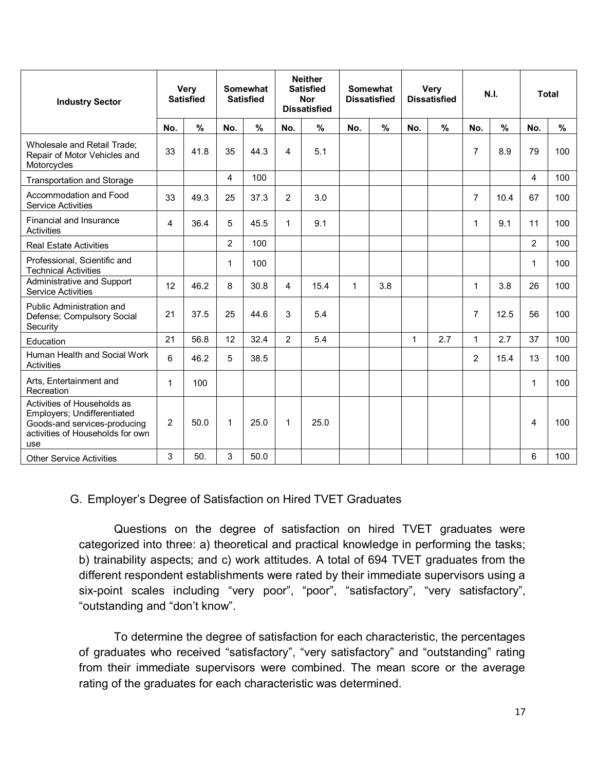| <b>Industry Sector</b>                                                                                                                |              | <b>Very</b><br><b>Satisfied</b> |                | <b>Somewhat</b><br><b>Satisfied</b> |                | <b>Neither</b><br><b>Satisfied</b><br><b>Nor</b><br><b>Dissatisfied</b> |     | <b>Somewhat</b><br><b>Dissatisfied</b> |              | <b>Very</b><br><b>Dissatisfied</b> |                | N.I.          |                | <b>Total</b> |  |
|---------------------------------------------------------------------------------------------------------------------------------------|--------------|---------------------------------|----------------|-------------------------------------|----------------|-------------------------------------------------------------------------|-----|----------------------------------------|--------------|------------------------------------|----------------|---------------|----------------|--------------|--|
|                                                                                                                                       | No.          | %                               | No.            | $\frac{0}{0}$                       | No.            | %                                                                       | No. | $\%$                                   | No.          | $\frac{9}{6}$                      | No.            | $\frac{9}{6}$ | No.            | %            |  |
| Wholesale and Retail Trade;<br>Repair of Motor Vehicles and<br>Motorcycles                                                            | 33           | 41.8                            | 35             | 44.3                                | 4              | 5.1                                                                     |     |                                        |              |                                    | 7              | 8.9           | 79             | 100          |  |
| <b>Transportation and Storage</b>                                                                                                     |              |                                 | 4              | 100                                 |                |                                                                         |     |                                        |              |                                    |                |               | 4              | 100          |  |
| Accommodation and Food<br><b>Service Activities</b>                                                                                   | 33           | 49.3                            | 25             | 37.3                                | 2              | 3.0                                                                     |     |                                        |              |                                    | 7              | 10.4          | 67             | 100          |  |
| Financial and Insurance<br><b>Activities</b>                                                                                          | 4            | 36.4                            | 5              | 45.5                                | 1              | 9.1                                                                     |     |                                        |              |                                    | 1              | 9.1           | 11             | 100          |  |
| <b>Real Estate Activities</b>                                                                                                         |              |                                 | $\overline{2}$ | 100                                 |                |                                                                         |     |                                        |              |                                    |                |               | $\overline{2}$ | 100          |  |
| Professional, Scientific and<br><b>Technical Activities</b>                                                                           |              |                                 | 1              | 100                                 |                |                                                                         |     |                                        |              |                                    |                |               | 1              | 100          |  |
| Administrative and Support<br><b>Service Activities</b>                                                                               | 12           | 46.2                            | 8              | 30.8                                | 4              | 15.4                                                                    | 1   | 3.8                                    |              |                                    | 1              | 3.8           | 26             | 100          |  |
| Public Administration and<br>Defense; Compulsory Social<br>Security                                                                   | 21           | 37.5                            | 25             | 44.6                                | 3              | 5.4                                                                     |     |                                        |              |                                    | 7              | 12.5          | 56             | 100          |  |
| Education                                                                                                                             | 21           | 56.8                            | 12             | 32.4                                | $\overline{2}$ | 5.4                                                                     |     |                                        | $\mathbf{1}$ | 2.7                                | $\mathbf{1}$   | 2.7           | 37             | 100          |  |
| Human Health and Social Work<br><b>Activities</b>                                                                                     | 6            | 46.2                            | 5              | 38.5                                |                |                                                                         |     |                                        |              |                                    | $\overline{2}$ | 15.4          | 13             | 100          |  |
| Arts, Entertainment and<br>Recreation                                                                                                 | $\mathbf{1}$ | 100                             |                |                                     |                |                                                                         |     |                                        |              |                                    |                |               | 1              | 100          |  |
| Activities of Households as<br>Employers; Undifferentiated<br>Goods-and services-producing<br>activities of Households for own<br>use | 2            | 50.0                            | 1              | 25.0                                | 1              | 25.0                                                                    |     |                                        |              |                                    |                |               | 4              | 100          |  |
| <b>Other Service Activities</b>                                                                                                       | 3            | 50.                             | 3              | 50.0                                |                |                                                                         |     |                                        |              |                                    |                |               | 6              | 100          |  |

#### G. Employer's Degree of Satisfaction on Hired TVET Graduates

Questions on the degree of satisfaction on hired TVET graduates were categorized into three: a) theoretical and practical knowledge in performing the tasks; b) trainability aspects; and c) work attitudes. A total of 694 TVET graduates from the different respondent establishments were rated by their immediate supervisors using a six-point scales including "very poor", "poor", "satisfactory", "very satisfactory", "outstanding and "don't know".

To determine the degree of satisfaction for each characteristic, the percentages of graduates who received "satisfactory", "very satisfactory" and "outstanding" rating from their immediate supervisors were combined. The mean score or the average rating of the graduates for each characteristic was determined.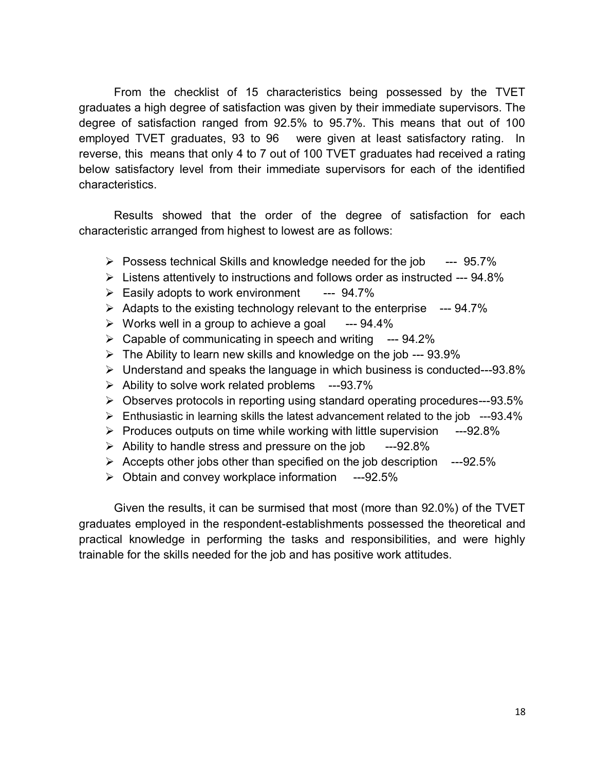From the checklist of 15 characteristics being possessed by the TVET graduates a high degree of satisfaction was given by their immediate supervisors. The degree of satisfaction ranged from 92.5% to 95.7%. This means that out of 100 employed TVET graduates, 93 to 96 were given at least satisfactory rating. reverse, this means that only 4 to 7 out of 100 TVET graduates had received a rating below satisfactory level from their immediate supervisors for each of the identified characteristics.

Results showed that the order of the degree of satisfaction for each characteristic arranged from highest to lowest are as follows:

- $\triangleright$  Possess technical Skills and knowledge needed for the job  $\cdot$  --- 95.7%
- $\triangleright$  Listens attentively to instructions and follows order as instructed --- 94.8%
- $\triangleright$  Easily adopts to work environment --- 94.7%
- $\geq$  Adapts to the existing technology relevant to the enterprise  $\sim$  --94.7%
- $\triangleright$  Works well in a group to achieve a goal --- 94.4%
- $\triangleright$  Capable of communicating in speech and writing --- 94.2%
- $\triangleright$  The Ability to learn new skills and knowledge on the job --- 93.9%
- $\triangleright$  Understand and speaks the language in which business is conducted---93.8%
- $\triangleright$  Ability to solve work related problems ---93.7%
- Observes protocols in reporting using standard operating procedures---93.5%
- $\triangleright$  Enthusiastic in learning skills the latest advancement related to the job ---93.4%
- $\triangleright$  Produces outputs on time while working with little supervision  $---92.8\%$
- $\triangleright$  Ability to handle stress and pressure on the job ---92.8%
- $\geq$  Accepts other jobs other than specified on the job description  $-$ -92.5%
- $\geq$  Obtain and convey workplace information ---92.5%

Given the results, it can be surmised that most (more than 92.0%) of the TVET graduates employed in the respondent-establishments possessed the theoretical and practical knowledge in performing the tasks and responsibilities, and were highly trainable for the skills needed for the job and has positive work attitudes.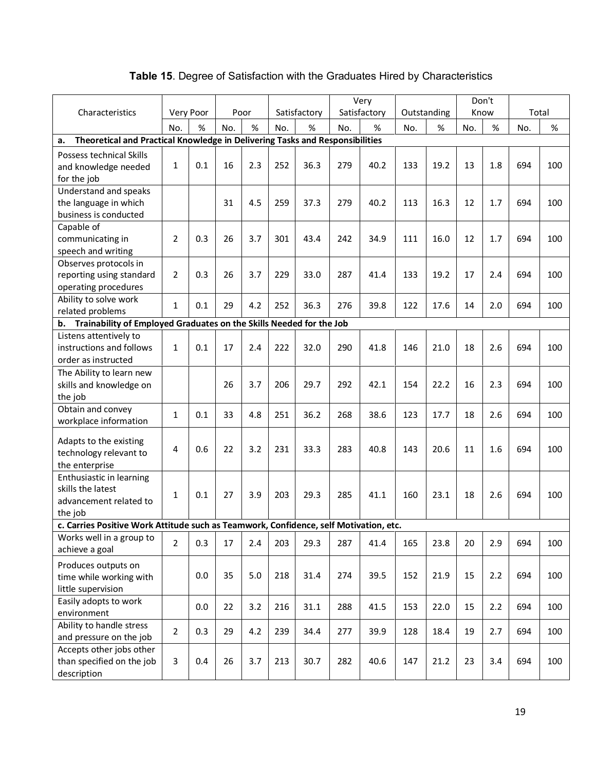|                                                                                       |                |     |      |     |              | Very<br>Don't |     |              |             |      |      |      |       |     |
|---------------------------------------------------------------------------------------|----------------|-----|------|-----|--------------|---------------|-----|--------------|-------------|------|------|------|-------|-----|
| Characteristics                                                                       | Very Poor      |     | Poor |     | Satisfactory |               |     | Satisfactory | Outstanding |      | Know |      | Total |     |
|                                                                                       | No.            | %   | No.  | %   | No.          | %             | No. | %            | No.         | %    | No.  | $\%$ | No.   | %   |
| Theoretical and Practical Knowledge in Delivering Tasks and Responsibilities<br>а.    |                |     |      |     |              |               |     |              |             |      |      |      |       |     |
| Possess technical Skills                                                              |                |     |      |     |              |               |     |              |             |      |      |      |       |     |
| and knowledge needed                                                                  | 1              | 0.1 | 16   | 2.3 | 252          | 36.3          | 279 | 40.2         | 133         | 19.2 | 13   | 1.8  | 694   | 100 |
| for the job                                                                           |                |     |      |     |              |               |     |              |             |      |      |      |       |     |
| Understand and speaks                                                                 |                |     |      |     |              |               |     |              |             |      |      |      |       |     |
| the language in which                                                                 |                |     | 31   | 4.5 | 259          | 37.3          | 279 | 40.2         | 113         | 16.3 | 12   | 1.7  | 694   | 100 |
| business is conducted                                                                 |                |     |      |     |              |               |     |              |             |      |      |      |       |     |
| Capable of                                                                            |                |     |      |     |              |               |     |              |             |      |      |      |       |     |
| communicating in                                                                      | $\overline{2}$ | 0.3 | 26   | 3.7 | 301          | 43.4          | 242 | 34.9         | 111         | 16.0 | 12   | 1.7  | 694   | 100 |
| speech and writing                                                                    |                |     |      |     |              |               |     |              |             |      |      |      |       |     |
| Observes protocols in                                                                 |                |     |      |     |              |               |     |              |             |      |      |      |       |     |
| reporting using standard                                                              | $\overline{2}$ | 0.3 | 26   | 3.7 | 229          | 33.0          | 287 | 41.4         | 133         | 19.2 | 17   | 2.4  | 694   | 100 |
| operating procedures                                                                  |                |     |      |     |              |               |     |              |             |      |      |      |       |     |
| Ability to solve work                                                                 | 1              | 0.1 | 29   | 4.2 | 252          | 36.3          | 276 | 39.8         | 122         | 17.6 | 14   | 2.0  | 694   | 100 |
| related problems                                                                      |                |     |      |     |              |               |     |              |             |      |      |      |       |     |
| Trainability of Employed Graduates on the Skills Needed for the Job<br>b.             |                |     |      |     |              |               |     |              |             |      |      |      |       |     |
| Listens attentively to                                                                |                |     |      |     |              |               |     |              |             |      |      |      |       |     |
| instructions and follows                                                              | 1              | 0.1 | 17   | 2.4 | 222          | 32.0          | 290 | 41.8         | 146         | 21.0 | 18   | 2.6  | 694   | 100 |
| order as instructed                                                                   |                |     |      |     |              |               |     |              |             |      |      |      |       |     |
| The Ability to learn new                                                              |                |     |      |     |              |               |     |              |             |      |      |      |       |     |
| skills and knowledge on                                                               |                |     | 26   | 3.7 | 206          | 29.7          | 292 | 42.1         | 154         | 22.2 | 16   | 2.3  | 694   | 100 |
| the job                                                                               |                |     |      |     |              |               |     |              |             |      |      |      |       |     |
| Obtain and convey                                                                     | 1              | 0.1 | 33   | 4.8 | 251          | 36.2          | 268 | 38.6         | 123         | 17.7 | 18   | 2.6  | 694   | 100 |
| workplace information                                                                 |                |     |      |     |              |               |     |              |             |      |      |      |       |     |
| Adapts to the existing                                                                |                |     |      |     |              |               |     |              |             |      |      |      |       |     |
| technology relevant to                                                                | 4              | 0.6 | 22   | 3.2 | 231          | 33.3          | 283 | 40.8         | 143         | 20.6 | 11   | 1.6  | 694   | 100 |
| the enterprise                                                                        |                |     |      |     |              |               |     |              |             |      |      |      |       |     |
| Enthusiastic in learning                                                              |                |     |      |     |              |               |     |              |             |      |      |      |       |     |
| skills the latest                                                                     | 1              | 0.1 | 27   | 3.9 | 203          | 29.3          | 285 | 41.1         | 160         | 23.1 | 18   | 2.6  | 694   | 100 |
| advancement related to                                                                |                |     |      |     |              |               |     |              |             |      |      |      |       |     |
| the job                                                                               |                |     |      |     |              |               |     |              |             |      |      |      |       |     |
| c. Carries Positive Work Attitude such as Teamwork, Confidence, self Motivation, etc. |                |     |      |     |              |               |     |              |             |      |      |      |       |     |
| Works well in a group to                                                              | $\overline{2}$ | 0.3 | 17   | 2.4 | 203          | 29.3          | 287 | 41.4         | 165         | 23.8 | 20   | 2.9  | 694   | 100 |
| achieve a goal                                                                        |                |     |      |     |              |               |     |              |             |      |      |      |       |     |
| Produces outputs on                                                                   |                |     |      |     |              |               |     |              |             |      |      |      |       |     |
| time while working with                                                               |                | 0.0 | 35   | 5.0 | 218          | 31.4          | 274 | 39.5         | 152         | 21.9 | 15   | 2.2  | 694   | 100 |
| little supervision                                                                    |                |     |      |     |              |               |     |              |             |      |      |      |       |     |
| Easily adopts to work                                                                 |                | 0.0 | 22   | 3.2 | 216          | 31.1          | 288 | 41.5         | 153         | 22.0 | 15   | 2.2  | 694   | 100 |
| environment                                                                           |                |     |      |     |              |               |     |              |             |      |      |      |       |     |
| Ability to handle stress                                                              | $\overline{2}$ | 0.3 | 29   | 4.2 | 239          | 34.4          | 277 | 39.9         | 128         | 18.4 | 19   | 2.7  | 694   | 100 |
| and pressure on the job                                                               |                |     |      |     |              |               |     |              |             |      |      |      |       |     |
| Accepts other jobs other                                                              |                |     |      |     |              |               |     |              |             |      |      |      |       |     |
| than specified on the job                                                             | 3              | 0.4 | 26   | 3.7 | 213          | 30.7          | 282 | 40.6         | 147         | 21.2 | 23   | 3.4  | 694   | 100 |
| description                                                                           |                |     |      |     |              |               |     |              |             |      |      |      |       |     |

### **Table 15**. Degree of Satisfaction with the Graduates Hired by Characteristics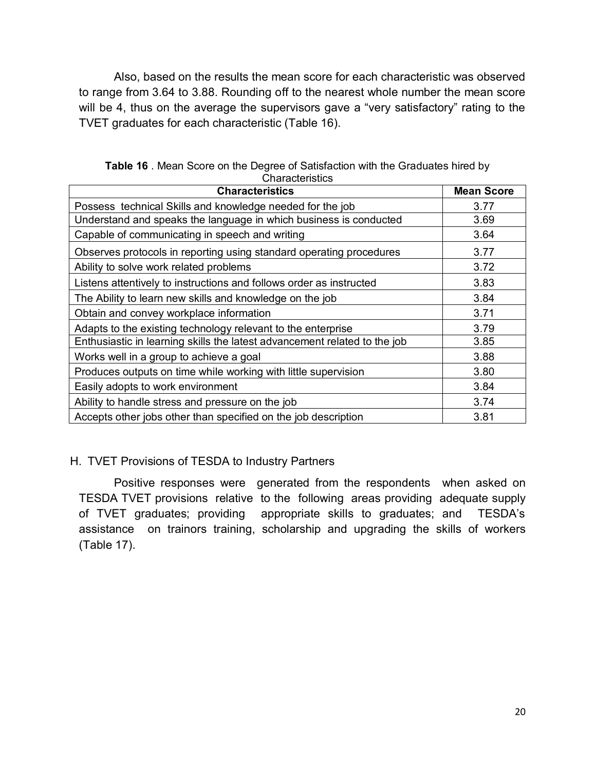Also, based on the results the mean score for each characteristic was observed to range from 3.64 to 3.88. Rounding off to the nearest whole number the mean score will be 4, thus on the average the supervisors gave a "very satisfactory" rating to the TVET graduates for each characteristic (Table 16).

| <b>Characteristics</b>                                                    | <b>Mean Score</b> |
|---------------------------------------------------------------------------|-------------------|
| Possess technical Skills and knowledge needed for the job                 | 3.77              |
| Understand and speaks the language in which business is conducted         | 3.69              |
| Capable of communicating in speech and writing                            | 3.64              |
| Observes protocols in reporting using standard operating procedures       | 3.77              |
| Ability to solve work related problems                                    | 3.72              |
| Listens attentively to instructions and follows order as instructed       | 3.83              |
| The Ability to learn new skills and knowledge on the job                  | 3.84              |
| Obtain and convey workplace information                                   | 3.71              |
| Adapts to the existing technology relevant to the enterprise              | 3.79              |
| Enthusiastic in learning skills the latest advancement related to the job | 3.85              |
| Works well in a group to achieve a goal                                   | 3.88              |
| Produces outputs on time while working with little supervision            | 3.80              |
| Easily adopts to work environment                                         | 3.84              |
| Ability to handle stress and pressure on the job                          | 3.74              |
| Accepts other jobs other than specified on the job description            | 3.81              |

**Table 16** . Mean Score on the Degree of Satisfaction with the Graduates hired by **Characteristics** 

#### H. TVET Provisions of TESDA to Industry Partners

Positive responses were generated from the respondents when asked on TESDA TVET provisions relative to the following areas providing adequate supply of TVET graduates; providing appropriate skills to graduates; and TESDA's assistance on trainors training, scholarship and upgrading the skills of workers (Table 17).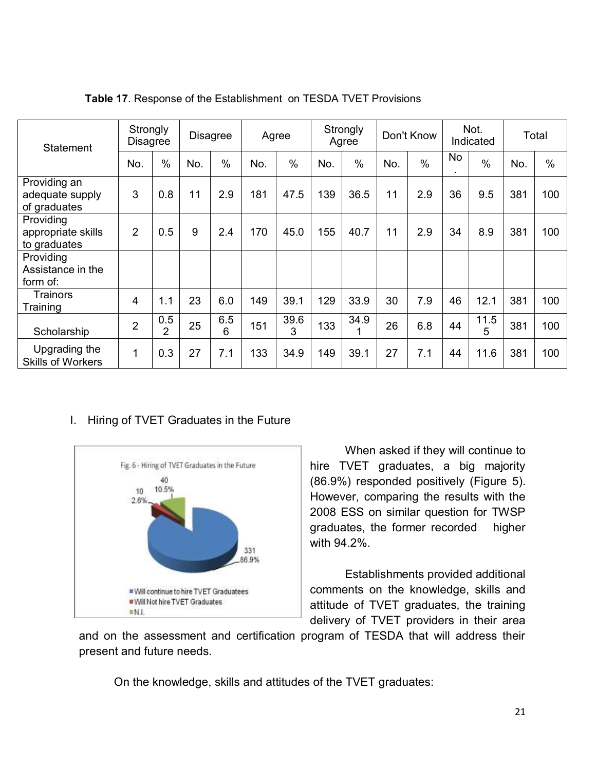| Statement                                       | Strongly<br>Disagree |                       |     | <b>Disagree</b> |     | Agree     |     | Strongly<br>Agree |     | Don't Know    |           | Not.<br>Indicated |     | Total |  |
|-------------------------------------------------|----------------------|-----------------------|-----|-----------------|-----|-----------|-----|-------------------|-----|---------------|-----------|-------------------|-----|-------|--|
|                                                 | No.                  | $\%$                  | No. | $\%$            | No. | $\%$      | No. | $\%$              | No. | $\frac{0}{0}$ | <b>No</b> | $\frac{0}{0}$     | No. | $\%$  |  |
| Providing an<br>adequate supply<br>of graduates | 3                    | 0.8                   | 11  | 2.9             | 181 | 47.5      | 139 | 36.5              | 11  | 2.9           | 36        | 9.5               | 381 | 100   |  |
| Providing<br>appropriate skills<br>to graduates | $\overline{2}$       | 0.5                   | 9   | 2.4             | 170 | 45.0      | 155 | 40.7              | 11  | 2.9           | 34        | 8.9               | 381 | 100   |  |
| Providing<br>Assistance in the<br>form of:      |                      |                       |     |                 |     |           |     |                   |     |               |           |                   |     |       |  |
| Trainors<br>Training                            | 4                    | 1.1                   | 23  | 6.0             | 149 | 39.1      | 129 | 33.9              | 30  | 7.9           | 46        | 12.1              | 381 | 100   |  |
| Scholarship                                     | $\overline{2}$       | 0.5<br>$\overline{2}$ | 25  | 6.5<br>6        | 151 | 39.6<br>3 | 133 | 34.9<br>1         | 26  | 6.8           | 44        | 11.5<br>5         | 381 | 100   |  |
| Upgrading the<br><b>Skills of Workers</b>       | 1                    | 0.3                   | 27  | 7.1             | 133 | 34.9      | 149 | 39.1              | 27  | 7.1           | 44        | 11.6              | 381 | 100   |  |

**Table 17**. Response of the Establishment on TESDA TVET Provisions

#### I. Hiring of TVET Graduates in the Future



When asked if they will continue to hire TVET graduates, a big majority (86.9%) responded positively (Figure 5). However, comparing the results with the 2008 ESS on similar question for TWSP graduates, the former recorded higher with 94.2%.

Establishments provided additional comments on the knowledge, skills and attitude of TVET graduates, the training delivery of TVET providers in their area

and on the assessment and certification program of TESDA that will address their present and future needs.

On the knowledge, skills and attitudes of the TVET graduates: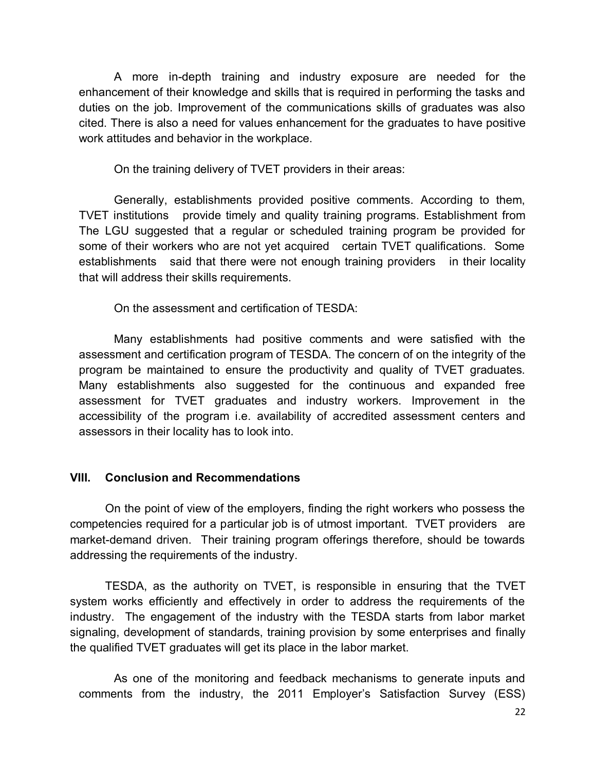A more in-depth training and industry exposure are needed for the enhancement of their knowledge and skills that is required in performing the tasks and duties on the job. Improvement of the communications skills of graduates was also cited. There is also a need for values enhancement for the graduates to have positive work attitudes and behavior in the workplace.

On the training delivery of TVET providers in their areas:

Generally, establishments provided positive comments. According to them, TVET institutions provide timely and quality training programs. Establishment from The LGU suggested that a regular or scheduled training program be provided for some of their workers who are not yet acquired certain TVET qualifications. Some establishments said that there were not enough training providers in their locality that will address their skills requirements.

On the assessment and certification of TESDA:

Many establishments had positive comments and were satisfied with the assessment and certification program of TESDA. The concern of on the integrity of the program be maintained to ensure the productivity and quality of TVET graduates. Many establishments also suggested for the continuous and expanded free assessment for TVET graduates and industry workers. Improvement in the accessibility of the program i.e. availability of accredited assessment centers and assessors in their locality has to look into.

#### **VIII. Conclusion and Recommendations**

On the point of view of the employers, finding the right workers who possess the competencies required for a particular job is of utmost important. TVET providers are market-demand driven. Their training program offerings therefore, should be towards addressing the requirements of the industry.

TESDA, as the authority on TVET, is responsible in ensuring that the TVET system works efficiently and effectively in order to address the requirements of the industry. The engagement of the industry with the TESDA starts from labor market signaling, development of standards, training provision by some enterprises and finally the qualified TVET graduates will get its place in the labor market.

As one of the monitoring and feedback mechanisms to generate inputs and comments from the industry, the 2011 Employer's Satisfaction Survey (ESS)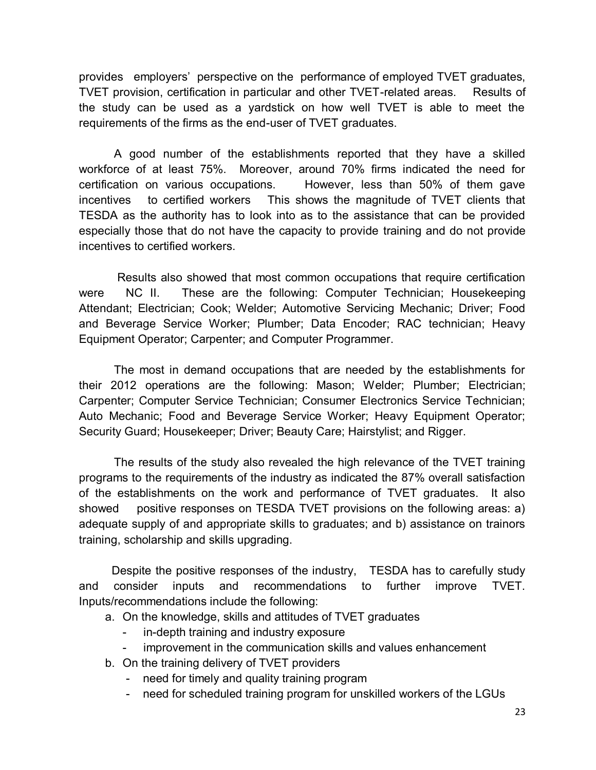provides employers' perspective on the performance of employed TVET graduates, TVET provision, certification in particular and other TVET-related areas. Results of the study can be used as a yardstick on how well TVET is able to meet the requirements of the firms as the end-user of TVET graduates.

A good number of the establishments reported that they have a skilled workforce of at least 75%. Moreover, around 70% firms indicated the need for certification on various occupations. However, less than 50% of them gave incentives to certified workers This shows the magnitude of TVET clients that TESDA as the authority has to look into as to the assistance that can be provided especially those that do not have the capacity to provide training and do not provide incentives to certified workers.

Results also showed that most common occupations that require certification were NC II. These are the following: Computer Technician; Housekeeping Attendant; Electrician; Cook; Welder; Automotive Servicing Mechanic; Driver; Food and Beverage Service Worker; Plumber; Data Encoder; RAC technician; Heavy Equipment Operator; Carpenter; and Computer Programmer.

The most in demand occupations that are needed by the establishments for their 2012 operations are the following: Mason; Welder; Plumber; Electrician; Carpenter; Computer Service Technician; Consumer Electronics Service Technician; Auto Mechanic; Food and Beverage Service Worker; Heavy Equipment Operator; Security Guard; Housekeeper; Driver; Beauty Care; Hairstylist; and Rigger.

The results of the study also revealed the high relevance of the TVET training programs to the requirements of the industry as indicated the 87% overall satisfaction of the establishments on the work and performance of TVET graduates. It also showed positive responses on TESDA TVET provisions on the following areas: a) adequate supply of and appropriate skills to graduates; and b) assistance on trainors training, scholarship and skills upgrading.

 Despite the positive responses of the industry, TESDA has to carefully study and consider inputs and recommendations to further improve TVET. Inputs/recommendations include the following:

- a. On the knowledge, skills and attitudes of TVET graduates
	- in-depth training and industry exposure
	- improvement in the communication skills and values enhancement
- b. On the training delivery of TVET providers
	- need for timely and quality training program
	- need for scheduled training program for unskilled workers of the LGUs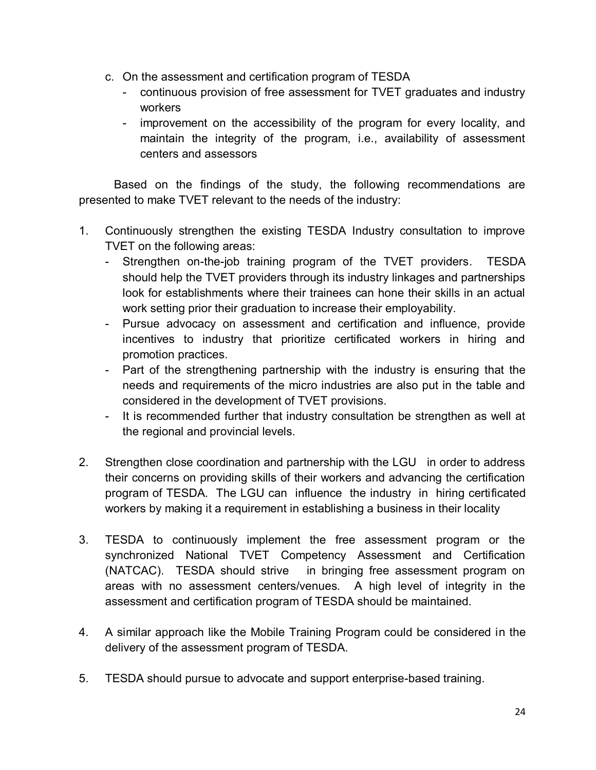- c. On the assessment and certification program of TESDA
	- continuous provision of free assessment for TVET graduates and industry workers
	- improvement on the accessibility of the program for every locality, and maintain the integrity of the program, i.e., availability of assessment centers and assessors

Based on the findings of the study, the following recommendations are presented to make TVET relevant to the needs of the industry:

- 1. Continuously strengthen the existing TESDA Industry consultation to improve TVET on the following areas:
	- Strengthen on-the-job training program of the TVET providers. TESDA should help the TVET providers through its industry linkages and partnerships look for establishments where their trainees can hone their skills in an actual work setting prior their graduation to increase their employability.
	- Pursue advocacy on assessment and certification and influence, provide incentives to industry that prioritize certificated workers in hiring and promotion practices.
	- Part of the strengthening partnership with the industry is ensuring that the needs and requirements of the micro industries are also put in the table and considered in the development of TVET provisions.
	- It is recommended further that industry consultation be strengthen as well at the regional and provincial levels.
- 2. Strengthen close coordination and partnership with the LGU in order to address their concerns on providing skills of their workers and advancing the certification program of TESDA. The LGU can influence the industry in hiring certificated workers by making it a requirement in establishing a business in their locality
- 3. TESDA to continuously implement the free assessment program or the synchronized National TVET Competency Assessment and Certification (NATCAC). TESDA should strive in bringing free assessment program on areas with no assessment centers/venues. A high level of integrity in the assessment and certification program of TESDA should be maintained.
- 4. A similar approach like the Mobile Training Program could be considered in the delivery of the assessment program of TESDA.
- 5. TESDA should pursue to advocate and support enterprise-based training.